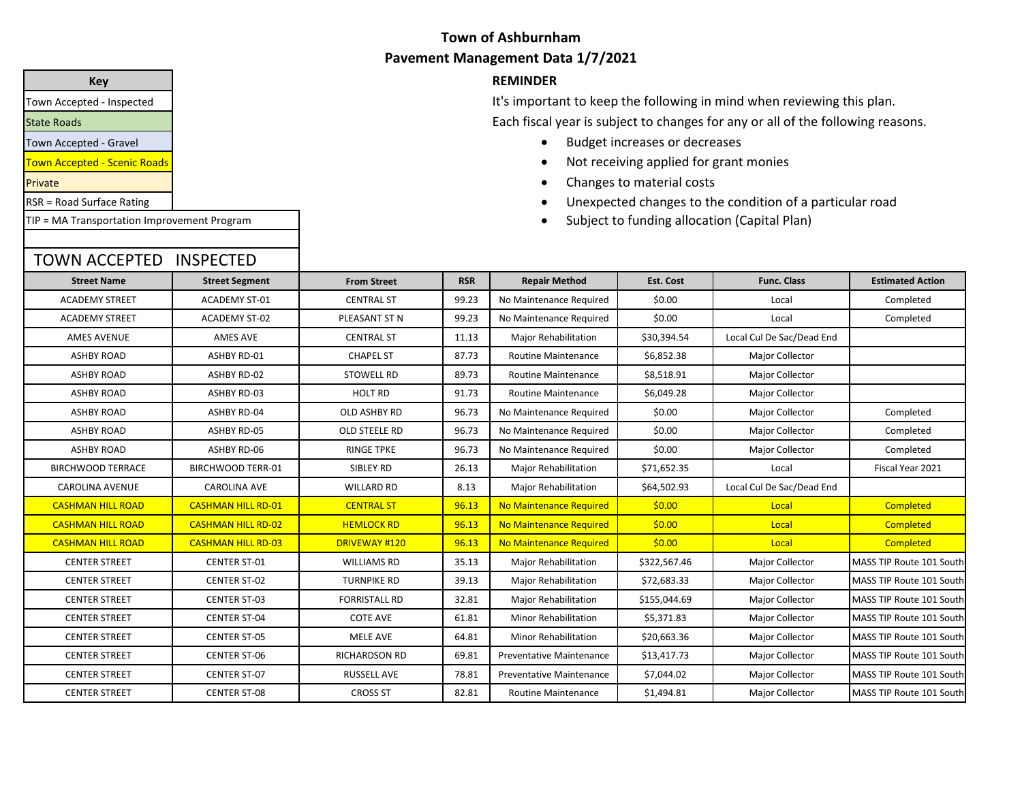#### **Key REMINDER**

It's important to keep the following in mind when reviewing this plan. Each fiscal year is subject to changes for any or all of the following reasons.

- Budget increases or decreases
- Not receiving applied for grant monies
- Changes to material costs
- Unexpected changes to the condition of a particular road
- Subject to funding allocation (Capital Plan)

| <b>Street Name</b>       | <b>Street Segment</b>     | <b>From Street</b>   | <b>RSR</b> | <b>Repair Method</b>                          | Est. Cost    | <b>Func. Class</b>        | <b>Estimated Action</b>  |
|--------------------------|---------------------------|----------------------|------------|-----------------------------------------------|--------------|---------------------------|--------------------------|
| <b>ACADEMY STREET</b>    | <b>ACADEMY ST-01</b>      | <b>CENTRAL ST</b>    | 99.23      | No Maintenance Required                       | \$0.00       | Local                     | Completed                |
| <b>ACADEMY STREET</b>    | <b>ACADEMY ST-02</b>      | PLEASANT ST N        | 99.23      | No Maintenance Required<br>\$0.00<br>Local    |              |                           | Completed                |
| <b>AMES AVENUE</b>       | AMES AVE                  | <b>CENTRAL ST</b>    | 11.13      | Major Rehabilitation                          | \$30,394.54  | Local Cul De Sac/Dead End |                          |
| <b>ASHBY ROAD</b>        | ASHBY RD-01               | <b>CHAPEL ST</b>     | 87.73      | <b>Routine Maintenance</b>                    | \$6,852.38   | <b>Major Collector</b>    |                          |
| <b>ASHBY ROAD</b>        | <b>ASHBY RD-02</b>        | <b>STOWELL RD</b>    | 89.73      | Routine Maintenance                           | \$8,518.91   | <b>Major Collector</b>    |                          |
| <b>ASHBY ROAD</b>        | ASHBY RD-03               | <b>HOLT RD</b>       | 91.73      | Routine Maintenance                           | \$6,049.28   | Major Collector           |                          |
| <b>ASHBY ROAD</b>        | <b>ASHBY RD-04</b>        | <b>OLD ASHBY RD</b>  | 96.73      | No Maintenance Required                       | \$0.00       | Major Collector           | Completed                |
| <b>ASHBY ROAD</b>        | <b>ASHBY RD-05</b>        | OLD STEELE RD        | 96.73      | No Maintenance Required                       | \$0.00       | Major Collector           | Completed                |
| <b>ASHBY ROAD</b>        | ASHBY RD-06               | <b>RINGE TPKE</b>    | 96.73      | No Maintenance Required                       | \$0.00       | Major Collector           | Completed                |
| <b>BIRCHWOOD TERRACE</b> | <b>BIRCHWOOD TERR-01</b>  | SIBLEY RD            | 26.13      | <b>Major Rehabilitation</b>                   | \$71,652.35  | Local                     | Fiscal Year 2021         |
| <b>CAROLINA AVENUE</b>   | <b>CAROLINA AVE</b>       | <b>WILLARD RD</b>    | 8.13       | <b>Major Rehabilitation</b>                   | \$64,502.93  | Local Cul De Sac/Dead End |                          |
| <b>CASHMAN HILL ROAD</b> | <b>CASHMAN HILL RD-01</b> | <b>CENTRAL ST</b>    | 96.13      | No Maintenance Required                       | \$0.00       | Local                     | Completed                |
| <b>CASHMAN HILL ROAD</b> | <b>CASHMAN HILL RD-02</b> | <b>HEMLOCK RD</b>    | 96.13      | No Maintenance Required                       | \$0.00       | Local                     | Completed                |
| <b>CASHMAN HILL ROAD</b> | <b>CASHMAN HILL RD-03</b> | <b>DRIVEWAY #120</b> | 96.13      | No Maintenance Required                       | \$0.00       | Local                     | Completed                |
| <b>CENTER STREET</b>     | <b>CENTER ST-01</b>       | <b>WILLIAMS RD</b>   | 35.13      | Major Rehabilitation                          | \$322,567.46 | <b>Major Collector</b>    | MASS TIP Route 101 South |
| <b>CENTER STREET</b>     | <b>CENTER ST-02</b>       | <b>TURNPIKE RD</b>   | 39.13      | Major Rehabilitation                          | \$72,683.33  | Major Collector           | MASS TIP Route 101 South |
| <b>CENTER STREET</b>     | <b>CENTER ST-03</b>       | <b>FORRISTALL RD</b> | 32.81      | Major Rehabilitation                          | \$155,044.69 | Major Collector           | MASS TIP Route 101 South |
| <b>CENTER STREET</b>     | <b>CENTER ST-04</b>       | <b>COTE AVE</b>      | 61.81      | Minor Rehabilitation                          | \$5,371.83   | <b>Major Collector</b>    | MASS TIP Route 101 South |
| <b>CENTER STREET</b>     | <b>CENTER ST-05</b>       | MELE AVE             | 64.81      | Minor Rehabilitation                          | \$20,663.36  | <b>Major Collector</b>    | MASS TIP Route 101 South |
| <b>CENTER STREET</b>     | <b>CENTER ST-06</b>       | <b>RICHARDSON RD</b> | 69.81      | <b>Preventative Maintenance</b>               | \$13,417.73  | Major Collector           | MASS TIP Route 101 South |
| <b>CENTER STREET</b>     | <b>CENTER ST-07</b>       | <b>RUSSELL AVE</b>   | 78.81      | \$7,044.02<br><b>Preventative Maintenance</b> |              | Major Collector           | MASS TIP Route 101 South |
| <b>CENTER STREET</b>     | <b>CENTER ST-08</b>       | <b>CROSS ST</b>      | 82.81      | <b>Routine Maintenance</b>                    | \$1,494.81   | Major Collector           | MASS TIP Route 101 South |

Town Accepted - Inspected

State Roads

Town Accepted - Gravel

Town Accepted - Scenic Roads

Private

RSR = Road Surface Rating

TIP = MA Transportation Improvement Program

TOWN ACCEPTED INSPECTED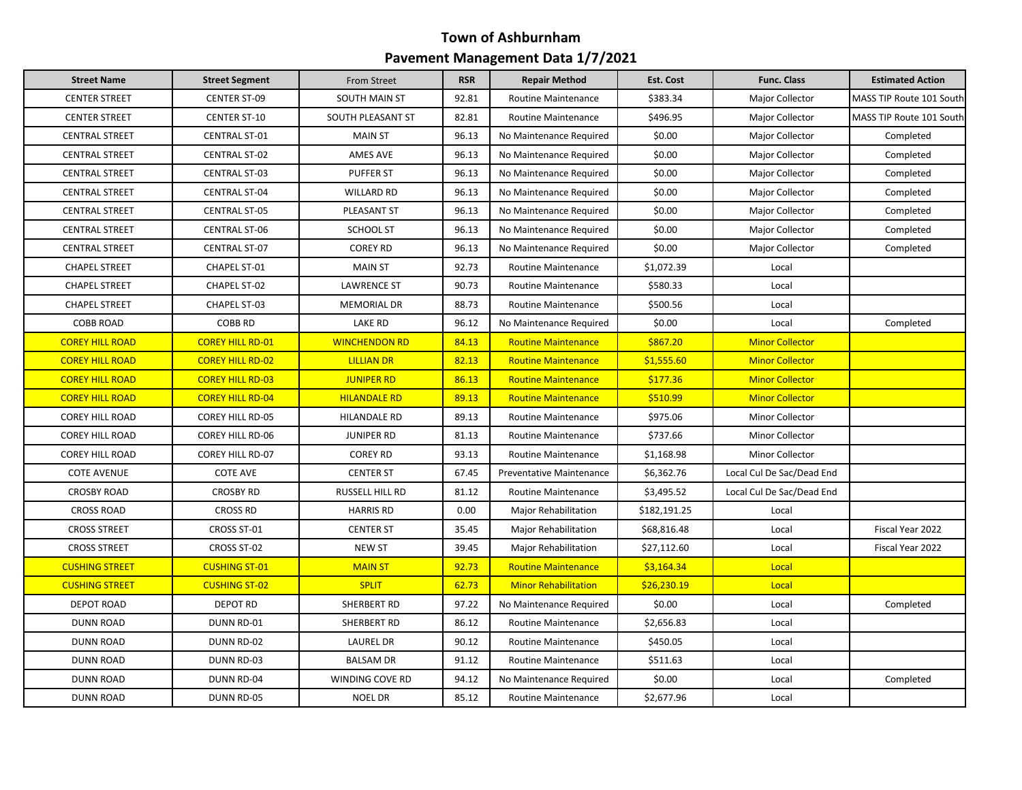| <b>Street Name</b>     | <b>Street Segment</b>   | From Street          | <b>RSR</b> | <b>Repair Method</b>            | <b>Est. Cost</b> | <b>Func. Class</b>        | <b>Estimated Action</b>  |
|------------------------|-------------------------|----------------------|------------|---------------------------------|------------------|---------------------------|--------------------------|
| <b>CENTER STREET</b>   | <b>CENTER ST-09</b>     | SOUTH MAIN ST        | 92.81      | Routine Maintenance             | \$383.34         | Major Collector           | MASS TIP Route 101 South |
| <b>CENTER STREET</b>   | <b>CENTER ST-10</b>     | SOUTH PLEASANT ST    | 82.81      | <b>Routine Maintenance</b>      | \$496.95         | Major Collector           | MASS TIP Route 101 South |
| <b>CENTRAL STREET</b>  | <b>CENTRAL ST-01</b>    | <b>MAIN ST</b>       | 96.13      | No Maintenance Required         | \$0.00           | Major Collector           | Completed                |
| <b>CENTRAL STREET</b>  | <b>CENTRAL ST-02</b>    | AMES AVE             | 96.13      | No Maintenance Required         | \$0.00           | Major Collector           | Completed                |
| <b>CENTRAL STREET</b>  | <b>CENTRAL ST-03</b>    | <b>PUFFER ST</b>     | 96.13      | No Maintenance Required         | \$0.00           | Major Collector           | Completed                |
| <b>CENTRAL STREET</b>  | <b>CENTRAL ST-04</b>    | <b>WILLARD RD</b>    | 96.13      | No Maintenance Required         | \$0.00           | Major Collector           | Completed                |
| <b>CENTRAL STREET</b>  | <b>CENTRAL ST-05</b>    | PLEASANT ST          | 96.13      | No Maintenance Required         | \$0.00           | Major Collector           | Completed                |
| <b>CENTRAL STREET</b>  | <b>CENTRAL ST-06</b>    | SCHOOL ST            | 96.13      | No Maintenance Required         | \$0.00           | Major Collector           | Completed                |
| <b>CENTRAL STREET</b>  | <b>CENTRAL ST-07</b>    | <b>COREY RD</b>      | 96.13      | No Maintenance Required         | \$0.00           | Major Collector           | Completed                |
| <b>CHAPEL STREET</b>   | CHAPEL ST-01            | <b>MAIN ST</b>       | 92.73      | Routine Maintenance             | \$1,072.39       | Local                     |                          |
| <b>CHAPEL STREET</b>   | CHAPEL ST-02            | <b>LAWRENCE ST</b>   | 90.73      | Routine Maintenance             | \$580.33         | Local                     |                          |
| <b>CHAPEL STREET</b>   | CHAPEL ST-03            | <b>MEMORIAL DR</b>   | 88.73      | Routine Maintenance             | \$500.56         | Local                     |                          |
| <b>COBB ROAD</b>       | <b>COBB RD</b>          | LAKE RD              | 96.12      | No Maintenance Required         | \$0.00           | Local                     | Completed                |
| <b>COREY HILL ROAD</b> | <b>COREY HILL RD-01</b> | <b>WINCHENDON RD</b> | 84.13      | <b>Routine Maintenance</b>      | \$867.20         | <b>Minor Collector</b>    |                          |
| <b>COREY HILL ROAD</b> | <b>COREY HILL RD-02</b> | <b>LILLIAN DR</b>    | 82.13      | <b>Routine Maintenance</b>      | \$1,555.60       | <b>Minor Collector</b>    |                          |
| <b>COREY HILL ROAD</b> | <b>COREY HILL RD-03</b> | <b>JUNIPER RD</b>    | 86.13      | <b>Routine Maintenance</b>      | \$177.36         | <b>Minor Collector</b>    |                          |
| <b>COREY HILL ROAD</b> | <b>COREY HILL RD-04</b> | <b>HILANDALE RD</b>  | 89.13      | <b>Routine Maintenance</b>      | \$510.99         | <b>Minor Collector</b>    |                          |
| <b>COREY HILL ROAD</b> | <b>COREY HILL RD-05</b> | HILANDALE RD         | 89.13      | <b>Routine Maintenance</b>      | \$975.06         | Minor Collector           |                          |
| <b>COREY HILL ROAD</b> | <b>COREY HILL RD-06</b> | <b>JUNIPER RD</b>    | 81.13      | Routine Maintenance             | \$737.66         | Minor Collector           |                          |
| <b>COREY HILL ROAD</b> | <b>COREY HILL RD-07</b> | <b>COREY RD</b>      | 93.13      | Routine Maintenance             | \$1,168.98       | <b>Minor Collector</b>    |                          |
| <b>COTE AVENUE</b>     | <b>COTE AVE</b>         | <b>CENTER ST</b>     | 67.45      | <b>Preventative Maintenance</b> | \$6,362.76       | Local Cul De Sac/Dead End |                          |
| <b>CROSBY ROAD</b>     | <b>CROSBY RD</b>        | RUSSELL HILL RD      | 81.12      | Routine Maintenance             | \$3,495.52       | Local Cul De Sac/Dead End |                          |
| <b>CROSS ROAD</b>      | <b>CROSS RD</b>         | <b>HARRIS RD</b>     | 0.00       | Major Rehabilitation            | \$182,191.25     | Local                     |                          |
| <b>CROSS STREET</b>    | CROSS ST-01             | <b>CENTER ST</b>     | 35.45      | Major Rehabilitation            | \$68,816.48      | Local                     | Fiscal Year 2022         |
| <b>CROSS STREET</b>    | CROSS ST-02             | <b>NEW ST</b>        | 39.45      | Major Rehabilitation            | \$27,112.60      | Local                     | Fiscal Year 2022         |
| <b>CUSHING STREET</b>  | <b>CUSHING ST-01</b>    | <b>MAIN ST</b>       | 92.73      | <b>Routine Maintenance</b>      | \$3,164.34       | Local                     |                          |
| <b>CUSHING STREET</b>  | <b>CUSHING ST-02</b>    | <b>SPLIT</b>         | 62.73      | <b>Minor Rehabilitation</b>     | \$26,230.19      | Local                     |                          |
| <b>DEPOT ROAD</b>      | <b>DEPOT RD</b>         | SHERBERT RD          | 97.22      | No Maintenance Required         | \$0.00           | Local                     | Completed                |
| <b>DUNN ROAD</b>       | DUNN RD-01              | SHERBERT RD          | 86.12      | Routine Maintenance             | \$2,656.83       | Local                     |                          |
| <b>DUNN ROAD</b>       | DUNN RD-02              | LAUREL DR            | 90.12      | Routine Maintenance             | \$450.05         | Local                     |                          |
| <b>DUNN ROAD</b>       | DUNN RD-03              | <b>BALSAM DR</b>     | 91.12      | Routine Maintenance             | \$511.63         | Local                     |                          |
| <b>DUNN ROAD</b>       | DUNN RD-04              | WINDING COVE RD      | 94.12      | No Maintenance Required         | \$0.00           | Local                     | Completed                |
| <b>DUNN ROAD</b>       | <b>DUNN RD-05</b>       | <b>NOEL DR</b>       | 85.12      | <b>Routine Maintenance</b>      | \$2,677.96       | Local                     |                          |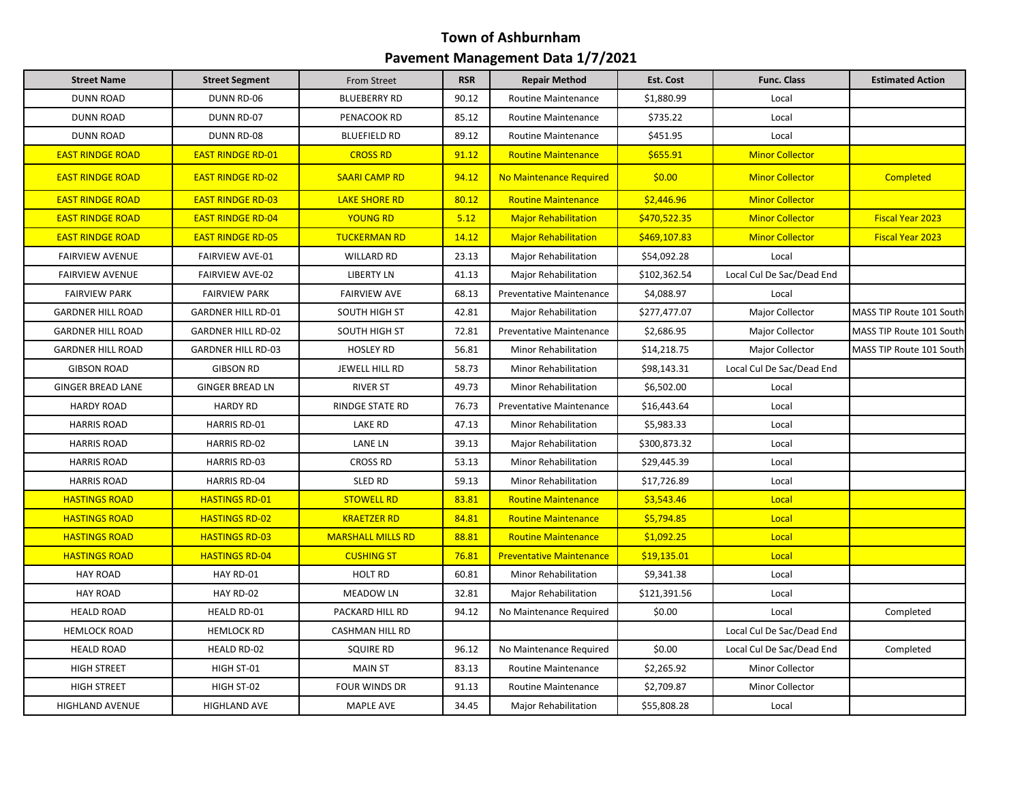| <b>Street Name</b>       | <b>Street Segment</b>     | From Street              | <b>RSR</b> | <b>Repair Method</b>                     | Est. Cost    | <b>Func. Class</b>        | <b>Estimated Action</b>  |
|--------------------------|---------------------------|--------------------------|------------|------------------------------------------|--------------|---------------------------|--------------------------|
| <b>DUNN ROAD</b>         | <b>DUNN RD-06</b>         | <b>BLUEBERRY RD</b>      | 90.12      | <b>Routine Maintenance</b>               | \$1,880.99   | Local                     |                          |
| <b>DUNN ROAD</b>         | DUNN RD-07                | PENACOOK RD              | 85.12      | <b>Routine Maintenance</b>               | \$735.22     | Local                     |                          |
| <b>DUNN ROAD</b>         | <b>DUNN RD-08</b>         | <b>BLUEFIELD RD</b>      | 89.12      | <b>Routine Maintenance</b>               | \$451.95     | Local                     |                          |
| <b>EAST RINDGE ROAD</b>  | <b>EAST RINDGE RD-01</b>  | <b>CROSS RD</b>          | 91.12      | <b>Routine Maintenance</b>               | \$655.91     | <b>Minor Collector</b>    |                          |
| <b>EAST RINDGE ROAD</b>  | <b>EAST RINDGE RD-02</b>  | <b>SAARI CAMP RD</b>     | 94.12      | No Maintenance Required                  | \$0.00       | <b>Minor Collector</b>    | <b>Completed</b>         |
| <b>EAST RINDGE ROAD</b>  | <b>EAST RINDGE RD-03</b>  | <b>LAKE SHORE RD</b>     | 80.12      | <b>Routine Maintenance</b>               | \$2,446.96   | <b>Minor Collector</b>    |                          |
| <b>EAST RINDGE ROAD</b>  | <b>EAST RINDGE RD-04</b>  | <b>YOUNG RD</b>          | 5.12       | <b>Major Rehabilitation</b>              | \$470,522.35 | <b>Minor Collector</b>    | <b>Fiscal Year 2023</b>  |
| <b>EAST RINDGE ROAD</b>  | <b>EAST RINDGE RD-05</b>  | <b>TUCKERMAN RD</b>      | 14.12      | <b>Major Rehabilitation</b>              | \$469,107.83 | <b>Minor Collector</b>    | <b>Fiscal Year 2023</b>  |
| <b>FAIRVIEW AVENUE</b>   | <b>FAIRVIEW AVE-01</b>    | <b>WILLARD RD</b>        | 23.13      | Major Rehabilitation                     | \$54,092.28  | Local                     |                          |
| <b>FAIRVIEW AVENUE</b>   | <b>FAIRVIEW AVE-02</b>    | <b>LIBERTY LN</b>        | 41.13      | <b>Major Rehabilitation</b>              | \$102,362.54 | Local Cul De Sac/Dead End |                          |
| <b>FAIRVIEW PARK</b>     | <b>FAIRVIEW PARK</b>      | <b>FAIRVIEW AVE</b>      | 68.13      | <b>Preventative Maintenance</b>          | \$4,088.97   | Local                     |                          |
| <b>GARDNER HILL ROAD</b> | <b>GARDNER HILL RD-01</b> | SOUTH HIGH ST            | 42.81      | Major Rehabilitation                     | \$277,477.07 | Major Collector           | MASS TIP Route 101 South |
| <b>GARDNER HILL ROAD</b> | <b>GARDNER HILL RD-02</b> | SOUTH HIGH ST            | 72.81      | <b>Preventative Maintenance</b>          | \$2,686.95   | Major Collector           | MASS TIP Route 101 South |
| <b>GARDNER HILL ROAD</b> | <b>GARDNER HILL RD-03</b> | <b>HOSLEY RD</b>         | 56.81      | Minor Rehabilitation                     | \$14,218.75  | Major Collector           | MASS TIP Route 101 South |
| <b>GIBSON ROAD</b>       | <b>GIBSON RD</b>          | JEWELL HILL RD           | 58.73      | Minor Rehabilitation<br>\$98,143.31      |              | Local Cul De Sac/Dead End |                          |
| <b>GINGER BREAD LANE</b> | <b>GINGER BREAD LN</b>    | <b>RIVER ST</b>          | 49.73      | <b>Minor Rehabilitation</b>              | \$6,502.00   | Local                     |                          |
| <b>HARDY ROAD</b>        | <b>HARDY RD</b>           | <b>RINDGE STATE RD</b>   | 76.73      | <b>Preventative Maintenance</b>          | \$16,443.64  | Local                     |                          |
| <b>HARRIS ROAD</b>       | <b>HARRIS RD-01</b>       | <b>LAKE RD</b>           | 47.13      | Minor Rehabilitation                     | \$5,983.33   | Local                     |                          |
| <b>HARRIS ROAD</b>       | <b>HARRIS RD-02</b>       | <b>LANE LN</b>           | 39.13      | Major Rehabilitation                     | \$300,873.32 | Local                     |                          |
| <b>HARRIS ROAD</b>       | <b>HARRIS RD-03</b>       | <b>CROSS RD</b>          | 53.13      | Minor Rehabilitation                     | \$29,445.39  | Local                     |                          |
| <b>HARRIS ROAD</b>       | <b>HARRIS RD-04</b>       | <b>SLED RD</b>           | 59.13      | <b>Minor Rehabilitation</b>              | \$17,726.89  | Local                     |                          |
| <b>HASTINGS ROAD</b>     | <b>HASTINGS RD-01</b>     | <b>STOWELL RD</b>        | 83.81      | <b>Routine Maintenance</b>               | \$3,543.46   | Local                     |                          |
| <b>HASTINGS ROAD</b>     | <b>HASTINGS RD-02</b>     | <b>KRAETZER RD</b>       | 84.81      | <b>Routine Maintenance</b>               | \$5,794.85   | Local                     |                          |
| <b>HASTINGS ROAD</b>     | <b>HASTINGS RD-03</b>     | <b>MARSHALL MILLS RD</b> | 88.81      | <b>Routine Maintenance</b>               | \$1,092.25   | Local                     |                          |
| <b>HASTINGS ROAD</b>     | <b>HASTINGS RD-04</b>     | <b>CUSHING ST</b>        | 76.81      | <b>Preventative Maintenance</b>          | \$19,135.01  | Local                     |                          |
| <b>HAY ROAD</b>          | HAY RD-01                 | <b>HOLT RD</b>           | 60.81      | Minor Rehabilitation                     | \$9,341.38   | Local                     |                          |
| <b>HAY ROAD</b>          | HAY RD-02                 | <b>MEADOW LN</b>         | 32.81      | <b>Major Rehabilitation</b>              | \$121,391.56 | Local                     |                          |
| <b>HEALD ROAD</b>        | <b>HEALD RD-01</b>        | PACKARD HILL RD          | 94.12      | No Maintenance Required                  | \$0.00       | Local                     | Completed                |
| <b>HEMLOCK ROAD</b>      | <b>HEMLOCK RD</b>         | <b>CASHMAN HILL RD</b>   |            |                                          |              | Local Cul De Sac/Dead End |                          |
| <b>HEALD ROAD</b>        | <b>HEALD RD-02</b>        | <b>SQUIRE RD</b>         | 96.12      | No Maintenance Required                  | \$0.00       | Local Cul De Sac/Dead End | Completed                |
| <b>HIGH STREET</b>       | HIGH ST-01                | <b>MAIN ST</b>           | 83.13      | Routine Maintenance                      | \$2,265.92   | Minor Collector           |                          |
| <b>HIGH STREET</b>       | HIGH ST-02                | <b>FOUR WINDS DR</b>     | 91.13      | <b>Routine Maintenance</b><br>\$2,709.87 |              | <b>Minor Collector</b>    |                          |
| <b>HIGHLAND AVENUE</b>   | <b>HIGHLAND AVE</b>       | <b>MAPLE AVE</b>         | 34.45      | <b>Major Rehabilitation</b>              | \$55,808.28  | Local                     |                          |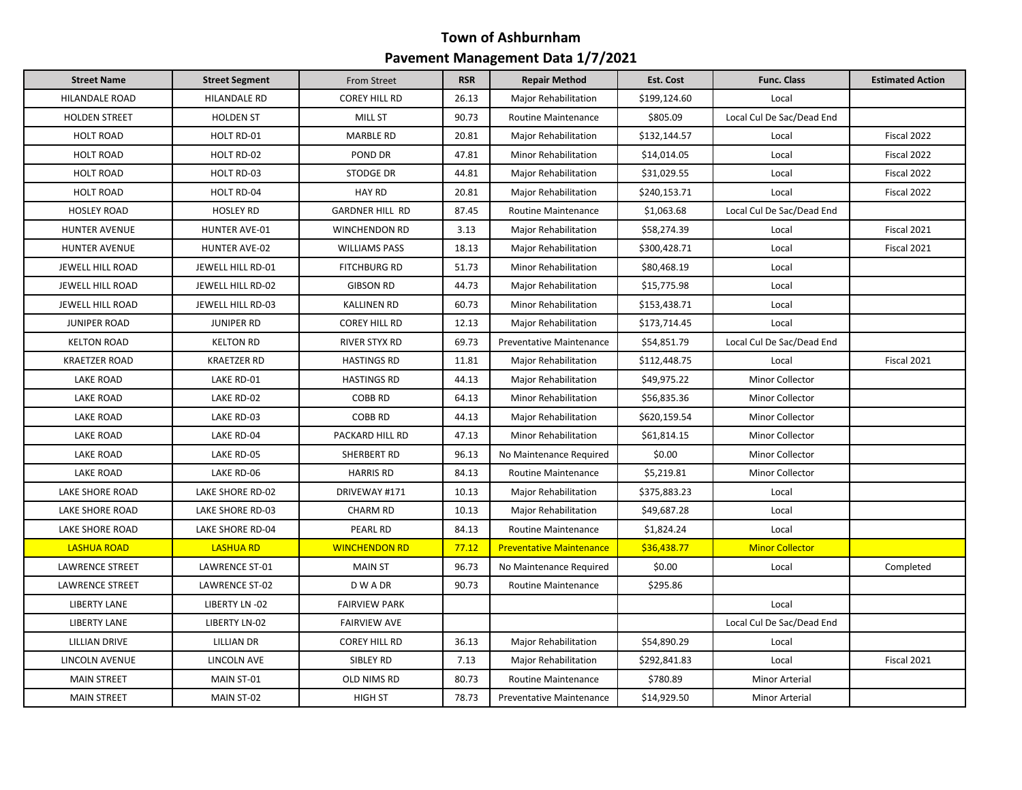| <b>Street Name</b>      | <b>Street Segment</b> | From Street            | <b>RSR</b> | <b>Repair Method</b>                | <b>Est. Cost</b> | <b>Func. Class</b>        | <b>Estimated Action</b> |
|-------------------------|-----------------------|------------------------|------------|-------------------------------------|------------------|---------------------------|-------------------------|
| HILANDALE ROAD          | HILANDALE RD          | <b>COREY HILL RD</b>   | 26.13      | <b>Major Rehabilitation</b>         | \$199,124.60     | Local                     |                         |
| <b>HOLDEN STREET</b>    | <b>HOLDEN ST</b>      | MILL ST                | 90.73      | Routine Maintenance                 | \$805.09         | Local Cul De Sac/Dead End |                         |
| <b>HOLT ROAD</b>        | HOLT RD-01            | <b>MARBLE RD</b>       | 20.81      | Major Rehabilitation                | \$132,144.57     | Local                     | Fiscal 2022             |
| <b>HOLT ROAD</b>        | HOLT RD-02            | POND DR                | 47.81      | <b>Minor Rehabilitation</b>         | \$14,014.05      | Local                     | Fiscal 2022             |
| <b>HOLT ROAD</b>        | HOLT RD-03            | <b>STODGE DR</b>       | 44.81      | \$31,029.55<br>Major Rehabilitation |                  | Local                     | Fiscal 2022             |
| <b>HOLT ROAD</b>        | HOLT RD-04            | <b>HAY RD</b>          | 20.81      | Major Rehabilitation                | \$240,153.71     | Local                     | Fiscal 2022             |
| <b>HOSLEY ROAD</b>      | <b>HOSLEY RD</b>      | <b>GARDNER HILL RD</b> | 87.45      | <b>Routine Maintenance</b>          | \$1,063.68       | Local Cul De Sac/Dead End |                         |
| <b>HUNTER AVENUE</b>    | HUNTER AVE-01         | <b>WINCHENDON RD</b>   | 3.13       | <b>Major Rehabilitation</b>         | \$58,274.39      | Local                     | Fiscal 2021             |
| <b>HUNTER AVENUE</b>    | <b>HUNTER AVE-02</b>  | <b>WILLIAMS PASS</b>   | 18.13      | Major Rehabilitation                | \$300,428.71     | Local                     | Fiscal 2021             |
| JEWELL HILL ROAD        | JEWELL HILL RD-01     | <b>FITCHBURG RD</b>    | 51.73      | Minor Rehabilitation                | \$80,468.19      | Local                     |                         |
| <b>JEWELL HILL ROAD</b> | JEWELL HILL RD-02     | <b>GIBSON RD</b>       | 44.73      | Major Rehabilitation                | \$15,775.98      | Local                     |                         |
| <b>JEWELL HILL ROAD</b> | JEWELL HILL RD-03     | <b>KALLINEN RD</b>     | 60.73      | <b>Minor Rehabilitation</b>         | \$153,438.71     | Local                     |                         |
| <b>JUNIPER ROAD</b>     | <b>JUNIPER RD</b>     | <b>COREY HILL RD</b>   | 12.13      | Major Rehabilitation                | \$173,714.45     | Local                     |                         |
| <b>KELTON ROAD</b>      | <b>KELTON RD</b>      | RIVER STYX RD          | 69.73      | <b>Preventative Maintenance</b>     | \$54,851.79      | Local Cul De Sac/Dead End |                         |
| <b>KRAETZER ROAD</b>    | <b>KRAETZER RD</b>    | <b>HASTINGS RD</b>     | 11.81      | Major Rehabilitation                | \$112,448.75     | Local                     | Fiscal 2021             |
| <b>LAKE ROAD</b>        | LAKE RD-01            | <b>HASTINGS RD</b>     | 44.13      | Major Rehabilitation                | \$49,975.22      | Minor Collector           |                         |
| <b>LAKE ROAD</b>        | LAKE RD-02            | <b>COBB RD</b>         | 64.13      | Minor Rehabilitation                | \$56,835.36      | Minor Collector           |                         |
| <b>LAKE ROAD</b>        | LAKE RD-03            | <b>COBB RD</b>         | 44.13      | Major Rehabilitation                | \$620,159.54     | <b>Minor Collector</b>    |                         |
| <b>LAKE ROAD</b>        | LAKE RD-04            | PACKARD HILL RD        | 47.13      | Minor Rehabilitation                | \$61,814.15      | <b>Minor Collector</b>    |                         |
| <b>LAKE ROAD</b>        | LAKE RD-05            | SHERBERT RD            | 96.13      | No Maintenance Required             | \$0.00           | Minor Collector           |                         |
| LAKE ROAD               | LAKE RD-06            | <b>HARRIS RD</b>       | 84.13      | Routine Maintenance                 | \$5,219.81       | Minor Collector           |                         |
| LAKE SHORE ROAD         | LAKE SHORE RD-02      | DRIVEWAY #171          | 10.13      | Major Rehabilitation                | \$375,883.23     | Local                     |                         |
| <b>LAKE SHORE ROAD</b>  | LAKE SHORE RD-03      | <b>CHARM RD</b>        | 10.13      | Major Rehabilitation                | \$49,687.28      | Local                     |                         |
| LAKE SHORE ROAD         | LAKE SHORE RD-04      | PEARL RD               | 84.13      | Routine Maintenance                 | \$1,824.24       | Local                     |                         |
| <b>LASHUA ROAD</b>      | <b>LASHUA RD</b>      | <b>WINCHENDON RD</b>   | 77.12      | <b>Preventative Maintenance</b>     | \$36,438.77      | <b>Minor Collector</b>    |                         |
| <b>LAWRENCE STREET</b>  | LAWRENCE ST-01        | <b>MAIN ST</b>         | 96.73      | No Maintenance Required             | \$0.00           | Local                     | Completed               |
| <b>LAWRENCE STREET</b>  | LAWRENCE ST-02        | D W A DR               | 90.73      | <b>Routine Maintenance</b>          | \$295.86         |                           |                         |
| <b>LIBERTY LANE</b>     | LIBERTY LN -02        | <b>FAIRVIEW PARK</b>   |            |                                     |                  | Local                     |                         |
| <b>LIBERTY LANE</b>     | LIBERTY LN-02         | <b>FAIRVIEW AVE</b>    |            |                                     |                  | Local Cul De Sac/Dead End |                         |
| LILLIAN DRIVE           | <b>LILLIAN DR</b>     | <b>COREY HILL RD</b>   | 36.13      | Major Rehabilitation                | \$54,890.29      | Local                     |                         |
| LINCOLN AVENUE          | LINCOLN AVE           | SIBLEY RD              | 7.13       | Major Rehabilitation                | \$292,841.83     | Local                     | Fiscal 2021             |
| <b>MAIN STREET</b>      | MAIN ST-01            | OLD NIMS RD            | 80.73      | <b>Routine Maintenance</b>          | \$780.89         | <b>Minor Arterial</b>     |                         |
| <b>MAIN STREET</b>      | MAIN ST-02            | <b>HIGH ST</b>         | 78.73      | Preventative Maintenance            | \$14,929.50      | <b>Minor Arterial</b>     |                         |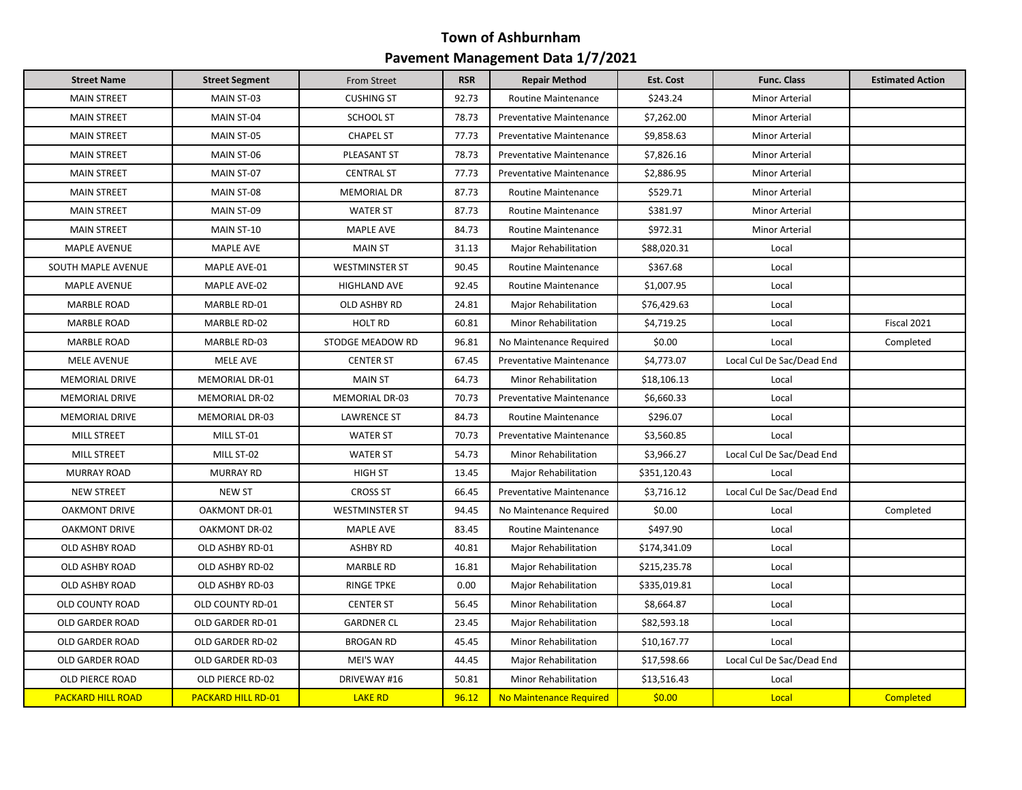| <b>Street Name</b>       | <b>Street Segment</b>     | From Street           | <b>RSR</b> | <b>Repair Method</b>                                | Est. Cost            | <b>Func. Class</b>        | <b>Estimated Action</b> |
|--------------------------|---------------------------|-----------------------|------------|-----------------------------------------------------|----------------------|---------------------------|-------------------------|
| <b>MAIN STREET</b>       | MAIN ST-03                | <b>CUSHING ST</b>     | 92.73      | Routine Maintenance                                 | \$243.24             | <b>Minor Arterial</b>     |                         |
| <b>MAIN STREET</b>       | MAIN ST-04                | SCHOOL ST             | 78.73      | <b>Preventative Maintenance</b>                     | \$7,262.00           | <b>Minor Arterial</b>     |                         |
| <b>MAIN STREET</b>       | MAIN ST-05                | <b>CHAPEL ST</b>      | 77.73      | <b>Preventative Maintenance</b>                     | \$9,858.63           | <b>Minor Arterial</b>     |                         |
| <b>MAIN STREET</b>       | MAIN ST-06                | PLEASANT ST           | 78.73      | <b>Preventative Maintenance</b>                     | \$7,826.16           | <b>Minor Arterial</b>     |                         |
| <b>MAIN STREET</b>       | MAIN ST-07                | <b>CENTRAL ST</b>     | 77.73      | Preventative Maintenance                            | \$2,886.95           | Minor Arterial            |                         |
| <b>MAIN STREET</b>       | MAIN ST-08                | <b>MEMORIAL DR</b>    | 87.73      | <b>Routine Maintenance</b>                          | \$529.71             | Minor Arterial            |                         |
| <b>MAIN STREET</b>       | MAIN ST-09                | <b>WATER ST</b>       | 87.73      | <b>Routine Maintenance</b>                          | \$381.97             | <b>Minor Arterial</b>     |                         |
| <b>MAIN STREET</b>       | MAIN ST-10                | <b>MAPLE AVE</b>      | 84.73      | Routine Maintenance                                 | \$972.31             | Minor Arterial            |                         |
| <b>MAPLE AVENUE</b>      | <b>MAPLE AVE</b>          | <b>MAIN ST</b>        | 31.13      | Major Rehabilitation                                | \$88,020.31          | Local                     |                         |
| SOUTH MAPLE AVENUE       | MAPLE AVE-01              | <b>WESTMINSTER ST</b> | 90.45      | <b>Routine Maintenance</b>                          | \$367.68             | Local                     |                         |
| <b>MAPLE AVENUE</b>      | MAPLE AVE-02              | HIGHLAND AVE          | 92.45      | Routine Maintenance                                 | \$1,007.95           | Local                     |                         |
| <b>MARBLE ROAD</b>       | MARBLE RD-01              | <b>OLD ASHBY RD</b>   | 24.81      | <b>Major Rehabilitation</b>                         | \$76,429.63          | Local                     |                         |
| <b>MARBLE ROAD</b>       | MARBLE RD-02              | <b>HOLT RD</b>        | 60.81      | Minor Rehabilitation                                | \$4,719.25           | Local                     | Fiscal 2021             |
| <b>MARBLE ROAD</b>       | MARBLE RD-03              | STODGE MEADOW RD      | 96.81      | No Maintenance Required                             | \$0.00               | Local                     | Completed               |
| <b>MELE AVENUE</b>       | MELE AVE                  | <b>CENTER ST</b>      | 67.45      | <b>Preventative Maintenance</b>                     | \$4,773.07           | Local Cul De Sac/Dead End |                         |
| <b>MEMORIAL DRIVE</b>    | MEMORIAL DR-01            | <b>MAIN ST</b>        | 64.73      | Minor Rehabilitation                                | \$18,106.13<br>Local |                           |                         |
| MEMORIAL DRIVE           | MEMORIAL DR-02            | MEMORIAL DR-03        | 70.73      | Preventative Maintenance                            | \$6,660.33<br>Local  |                           |                         |
| <b>MEMORIAL DRIVE</b>    | MEMORIAL DR-03            | LAWRENCE ST           | 84.73      | Routine Maintenance                                 | \$296.07             | Local                     |                         |
| <b>MILL STREET</b>       | MILL ST-01                | <b>WATER ST</b>       | 70.73      | <b>Preventative Maintenance</b>                     | \$3,560.85           | Local                     |                         |
| <b>MILL STREET</b>       | MILL ST-02                | <b>WATER ST</b>       | 54.73      | Minor Rehabilitation                                | \$3,966.27           | Local Cul De Sac/Dead End |                         |
| <b>MURRAY ROAD</b>       | <b>MURRAY RD</b>          | <b>HIGH ST</b>        | 13.45      | Major Rehabilitation                                | \$351,120.43         | Local                     |                         |
| <b>NEW STREET</b>        | <b>NEW ST</b>             | <b>CROSS ST</b>       | 66.45      | Preventative Maintenance                            | \$3,716.12           | Local Cul De Sac/Dead End |                         |
| <b>OAKMONT DRIVE</b>     | OAKMONT DR-01             | <b>WESTMINSTER ST</b> | 94.45      | No Maintenance Required                             | \$0.00               | Local                     | Completed               |
| <b>OAKMONT DRIVE</b>     | <b>OAKMONT DR-02</b>      | <b>MAPLE AVE</b>      | 83.45      | <b>Routine Maintenance</b>                          | \$497.90             | Local                     |                         |
| OLD ASHBY ROAD           | OLD ASHBY RD-01           | <b>ASHBY RD</b>       | 40.81      | Major Rehabilitation                                | \$174,341.09         | Local                     |                         |
| OLD ASHBY ROAD           | OLD ASHBY RD-02           | <b>MARBLE RD</b>      | 16.81      | Major Rehabilitation                                | \$215,235.78         | Local                     |                         |
| OLD ASHBY ROAD           | OLD ASHBY RD-03           | <b>RINGE TPKE</b>     | 0.00       | Major Rehabilitation                                | \$335,019.81         | Local                     |                         |
| <b>OLD COUNTY ROAD</b>   | OLD COUNTY RD-01          | <b>CENTER ST</b>      | 56.45      | <b>Minor Rehabilitation</b>                         | \$8,664.87           | Local                     |                         |
| <b>OLD GARDER ROAD</b>   | OLD GARDER RD-01          | <b>GARDNER CL</b>     | 23.45      | Major Rehabilitation                                | \$82,593.18          | Local                     |                         |
| OLD GARDER ROAD          | OLD GARDER RD-02          | <b>BROGAN RD</b>      | 45.45      | \$10,167.77<br>Minor Rehabilitation<br>Local        |                      |                           |                         |
| OLD GARDER ROAD          | OLD GARDER RD-03          | MEI'S WAY             | 44.45      | Major Rehabilitation<br>\$17,598.66                 |                      | Local Cul De Sac/Dead End |                         |
| <b>OLD PIERCE ROAD</b>   | OLD PIERCE RD-02          | DRIVEWAY #16          | 50.81      | <b>Minor Rehabilitation</b><br>\$13,516.43<br>Local |                      |                           |                         |
| <b>PACKARD HILL ROAD</b> | <b>PACKARD HILL RD-01</b> | <b>LAKE RD</b>        | 96.12      | No Maintenance Required                             | \$0.00               | Local                     | Completed               |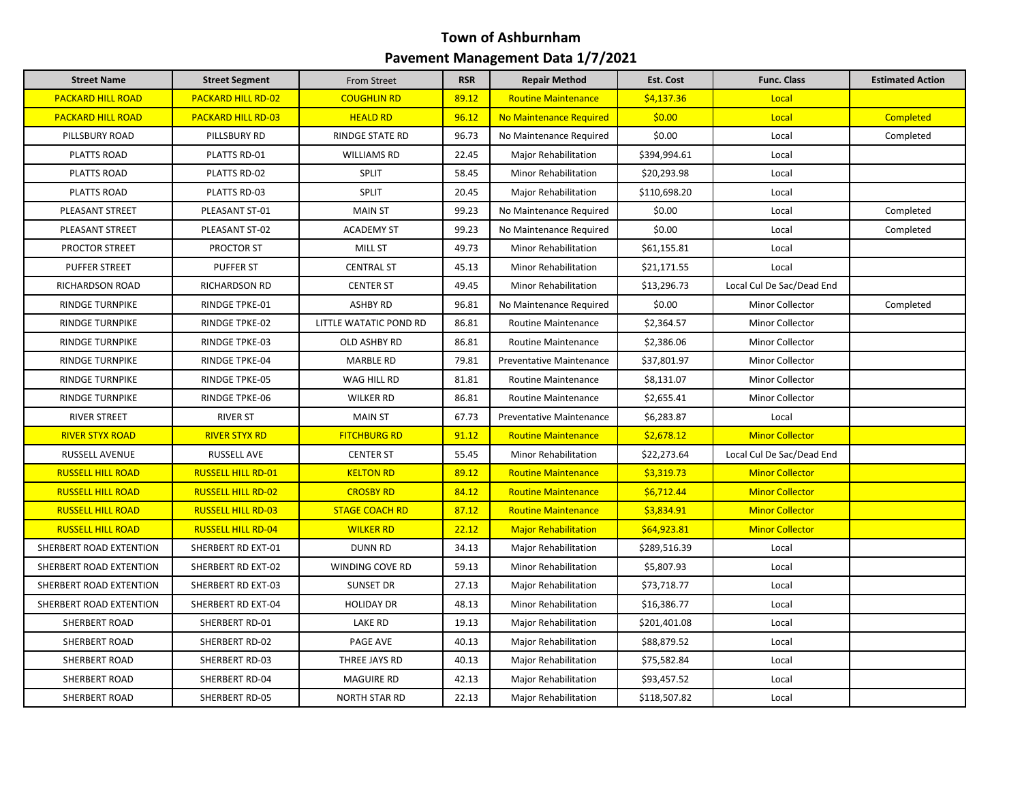| <b>Street Name</b>       | <b>Street Segment</b>     | From Street            | <b>RSR</b> | <b>Repair Method</b>            | <b>Est. Cost</b> | <b>Func. Class</b>        | <b>Estimated Action</b> |
|--------------------------|---------------------------|------------------------|------------|---------------------------------|------------------|---------------------------|-------------------------|
| <b>PACKARD HILL ROAD</b> | <b>PACKARD HILL RD-02</b> | <b>COUGHLIN RD</b>     | 89.12      | <b>Routine Maintenance</b>      | \$4,137.36       | Local                     |                         |
| <b>PACKARD HILL ROAD</b> | <b>PACKARD HILL RD-03</b> | <b>HEALD RD</b>        | 96.12      | No Maintenance Required         | \$0.00           | Local                     | <b>Completed</b>        |
| PILLSBURY ROAD           | PILLSBURY RD              | <b>RINDGE STATE RD</b> | 96.73      | No Maintenance Required         | \$0.00           | Local                     | Completed               |
| <b>PLATTS ROAD</b>       | PLATTS RD-01              | <b>WILLIAMS RD</b>     | 22.45      | Major Rehabilitation            | \$394,994.61     | Local                     |                         |
| PLATTS ROAD              | PLATTS RD-02              | <b>SPLIT</b>           | 58.45      | Minor Rehabilitation            | \$20,293.98      | Local                     |                         |
| <b>PLATTS ROAD</b>       | PLATTS RD-03              | SPLIT                  | 20.45      | Major Rehabilitation            | \$110,698.20     | Local                     |                         |
| PLEASANT STREET          | PLEASANT ST-01            | <b>MAIN ST</b>         | 99.23      | No Maintenance Required         | \$0.00           | Local                     | Completed               |
| PLEASANT STREET          | PLEASANT ST-02            | <b>ACADEMY ST</b>      | 99.23      | No Maintenance Required         | \$0.00           | Local                     | Completed               |
| <b>PROCTOR STREET</b>    | <b>PROCTOR ST</b>         | MILL ST                | 49.73      | <b>Minor Rehabilitation</b>     | \$61,155.81      | Local                     |                         |
| <b>PUFFER STREET</b>     | <b>PUFFER ST</b>          | <b>CENTRAL ST</b>      | 45.13      | Minor Rehabilitation            | \$21,171.55      | Local                     |                         |
| RICHARDSON ROAD          | <b>RICHARDSON RD</b>      | <b>CENTER ST</b>       | 49.45      | Minor Rehabilitation            | \$13,296.73      | Local Cul De Sac/Dead End |                         |
| <b>RINDGE TURNPIKE</b>   | RINDGE TPKE-01            | <b>ASHBY RD</b>        | 96.81      | No Maintenance Required         | \$0.00           | <b>Minor Collector</b>    | Completed               |
| <b>RINDGE TURNPIKE</b>   | RINDGE TPKE-02            | LITTLE WATATIC POND RD | 86.81      | <b>Routine Maintenance</b>      | \$2,364.57       | Minor Collector           |                         |
| <b>RINDGE TURNPIKE</b>   | <b>RINDGE TPKE-03</b>     | <b>OLD ASHBY RD</b>    | 86.81      | Routine Maintenance             | \$2,386.06       | <b>Minor Collector</b>    |                         |
| <b>RINDGE TURNPIKE</b>   | RINDGE TPKE-04            | <b>MARBLE RD</b>       | 79.81      | Preventative Maintenance        | \$37,801.97      | <b>Minor Collector</b>    |                         |
| <b>RINDGE TURNPIKE</b>   | RINDGE TPKE-05            | WAG HILL RD            | 81.81      | Routine Maintenance             | \$8,131.07       | Minor Collector           |                         |
| <b>RINDGE TURNPIKE</b>   | RINDGE TPKE-06            | <b>WILKER RD</b>       | 86.81      | Routine Maintenance             | \$2,655.41       | Minor Collector           |                         |
| <b>RIVER STREET</b>      | <b>RIVER ST</b>           | <b>MAIN ST</b>         | 67.73      | <b>Preventative Maintenance</b> | \$6,283.87       | Local                     |                         |
| <b>RIVER STYX ROAD</b>   | <b>RIVER STYX RD</b>      | <b>FITCHBURG RD</b>    | 91.12      | <b>Routine Maintenance</b>      | \$2,678.12       | <b>Minor Collector</b>    |                         |
| RUSSELL AVENUE           | <b>RUSSELL AVE</b>        | <b>CENTER ST</b>       | 55.45      | Minor Rehabilitation            | \$22,273.64      | Local Cul De Sac/Dead End |                         |
| <b>RUSSELL HILL ROAD</b> | <b>RUSSELL HILL RD-01</b> | <b>KELTON RD</b>       | 89.12      | <b>Routine Maintenance</b>      | \$3,319.73       | <b>Minor Collector</b>    |                         |
| <b>RUSSELL HILL ROAD</b> | <b>RUSSELL HILL RD-02</b> | <b>CROSBY RD</b>       | 84.12      | <b>Routine Maintenance</b>      | \$6,712.44       | <b>Minor Collector</b>    |                         |
| <b>RUSSELL HILL ROAD</b> | <b>RUSSELL HILL RD-03</b> | <b>STAGE COACH RD</b>  | 87.12      | <b>Routine Maintenance</b>      | \$3,834.91       | <b>Minor Collector</b>    |                         |
| <b>RUSSELL HILL ROAD</b> | <b>RUSSELL HILL RD-04</b> | <b>WILKER RD</b>       | 22.12      | <b>Major Rehabilitation</b>     | \$64,923.81      | <b>Minor Collector</b>    |                         |
| SHERBERT ROAD EXTENTION  | SHERBERT RD EXT-01        | <b>DUNN RD</b>         | 34.13      | Major Rehabilitation            | \$289,516.39     | Local                     |                         |
| SHERBERT ROAD EXTENTION  | SHERBERT RD EXT-02        | WINDING COVE RD        | 59.13      | Minor Rehabilitation            | \$5,807.93       | Local                     |                         |
| SHERBERT ROAD EXTENTION  | SHERBERT RD EXT-03        | SUNSET DR              | 27.13      | Major Rehabilitation            | \$73,718.77      | Local                     |                         |
| SHERBERT ROAD EXTENTION  | SHERBERT RD EXT-04        | <b>HOLIDAY DR</b>      | 48.13      | Minor Rehabilitation            | \$16,386.77      | Local                     |                         |
| SHERBERT ROAD            | SHERBERT RD-01            | LAKE RD                | 19.13      | Major Rehabilitation            | \$201,401.08     | Local                     |                         |
| SHERBERT ROAD            | SHERBERT RD-02            | PAGE AVE               | 40.13      | Major Rehabilitation            | \$88,879.52      | Local                     |                         |
| <b>SHERBERT ROAD</b>     | SHERBERT RD-03            | THREE JAYS RD          | 40.13      | Major Rehabilitation            | \$75,582.84      | Local                     |                         |
| SHERBERT ROAD            | SHERBERT RD-04            | <b>MAGUIRE RD</b>      | 42.13      | Major Rehabilitation            | \$93,457.52      | Local                     |                         |
| SHERBERT ROAD            | SHERBERT RD-05            | <b>NORTH STAR RD</b>   | 22.13      | Major Rehabilitation            | \$118,507.82     | Local                     |                         |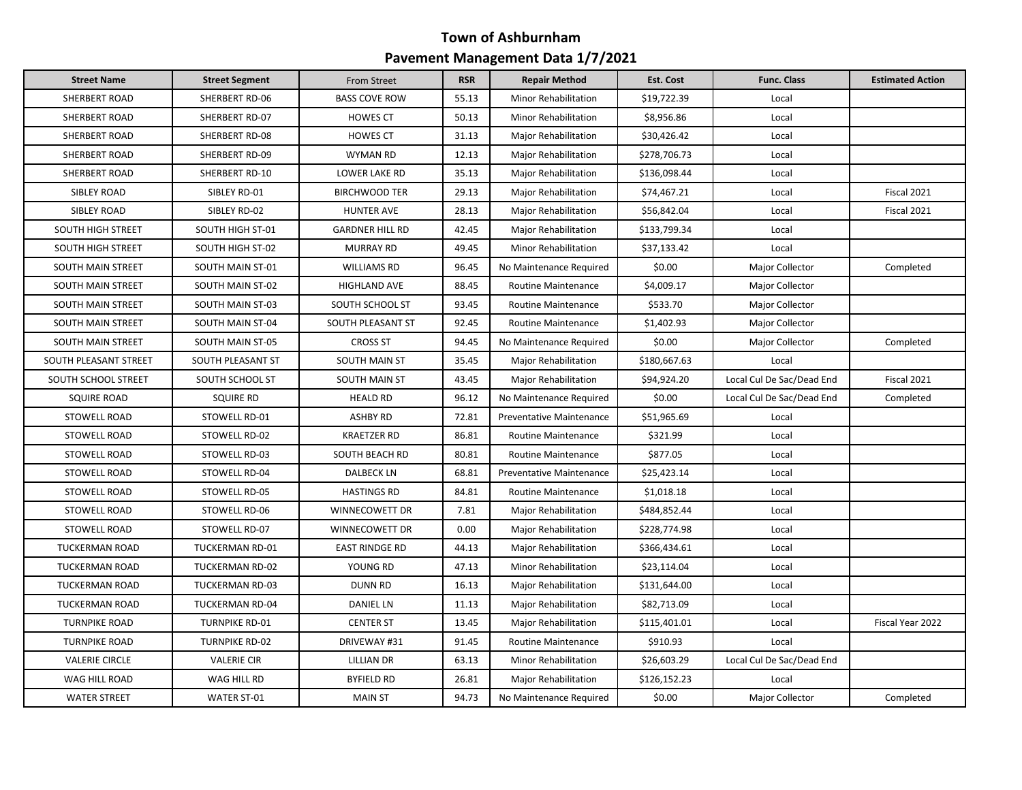| <b>Street Name</b>       | <b>Street Segment</b>  | From Street            | <b>RSR</b> | <b>Repair Method</b>                | Est. Cost    | <b>Func. Class</b>        | <b>Estimated Action</b> |
|--------------------------|------------------------|------------------------|------------|-------------------------------------|--------------|---------------------------|-------------------------|
| SHERBERT ROAD            | SHERBERT RD-06         | <b>BASS COVE ROW</b>   | 55.13      | <b>Minor Rehabilitation</b>         | \$19,722.39  | Local                     |                         |
| SHERBERT ROAD            | SHERBERT RD-07         | <b>HOWES CT</b>        | 50.13      | <b>Minor Rehabilitation</b>         | \$8,956.86   | Local                     |                         |
| SHERBERT ROAD            | SHERBERT RD-08         | <b>HOWES CT</b>        | 31.13      | \$30,426.42<br>Major Rehabilitation |              | Local                     |                         |
| SHERBERT ROAD            | SHERBERT RD-09         | <b>WYMAN RD</b>        | 12.13      | Major Rehabilitation                | \$278,706.73 | Local                     |                         |
| SHERBERT ROAD            | SHERBERT RD-10         | LOWER LAKE RD          | 35.13      | Major Rehabilitation                | \$136,098.44 | Local                     |                         |
| SIBLEY ROAD              | SIBLEY RD-01           | <b>BIRCHWOOD TER</b>   | 29.13      | Major Rehabilitation                | \$74,467.21  | Local                     | Fiscal 2021             |
| <b>SIBLEY ROAD</b>       | SIBLEY RD-02           | <b>HUNTER AVE</b>      | 28.13      | <b>Major Rehabilitation</b>         | \$56,842.04  | Local                     | Fiscal 2021             |
| SOUTH HIGH STREET        | SOUTH HIGH ST-01       | <b>GARDNER HILL RD</b> | 42.45      | Major Rehabilitation                | \$133,799.34 | Local                     |                         |
| <b>SOUTH HIGH STREET</b> | SOUTH HIGH ST-02       | <b>MURRAY RD</b>       | 49.45      | Minor Rehabilitation                | \$37,133.42  | Local                     |                         |
| <b>SOUTH MAIN STREET</b> | SOUTH MAIN ST-01       | <b>WILLIAMS RD</b>     | 96.45      | No Maintenance Required             | \$0.00       | Major Collector           | Completed               |
| <b>SOUTH MAIN STREET</b> | SOUTH MAIN ST-02       | HIGHLAND AVE           | 88.45      | <b>Routine Maintenance</b>          | \$4,009.17   | Major Collector           |                         |
| SOUTH MAIN STREET        | SOUTH MAIN ST-03       | SOUTH SCHOOL ST        | 93.45      | <b>Routine Maintenance</b>          | \$533.70     | Major Collector           |                         |
| SOUTH MAIN STREET        | SOUTH MAIN ST-04       | SOUTH PLEASANT ST      | 92.45      | <b>Routine Maintenance</b>          | \$1,402.93   | Major Collector           |                         |
| SOUTH MAIN STREET        | SOUTH MAIN ST-05       | <b>CROSS ST</b>        | 94.45      | No Maintenance Required             | \$0.00       | Major Collector           | Completed               |
| SOUTH PLEASANT STREET    | SOUTH PLEASANT ST      | <b>SOUTH MAIN ST</b>   | 35.45      | Major Rehabilitation                | \$180,667.63 | Local                     |                         |
| SOUTH SCHOOL STREET      | SOUTH SCHOOL ST        | SOUTH MAIN ST          | 43.45      | Major Rehabilitation                | \$94,924.20  | Local Cul De Sac/Dead End | Fiscal 2021             |
| <b>SQUIRE ROAD</b>       | <b>SQUIRE RD</b>       | <b>HEALD RD</b>        | 96.12      | No Maintenance Required             | \$0.00       | Local Cul De Sac/Dead End | Completed               |
| STOWELL ROAD             | STOWELL RD-01          | <b>ASHBY RD</b>        | 72.81      | Preventative Maintenance            | \$51,965.69  | Local                     |                         |
| <b>STOWELL ROAD</b>      | STOWELL RD-02          | <b>KRAETZER RD</b>     | 86.81      | <b>Routine Maintenance</b>          | \$321.99     | Local                     |                         |
| STOWELL ROAD             | STOWELL RD-03          | SOUTH BEACH RD         | 80.81      | Routine Maintenance                 | \$877.05     | Local                     |                         |
| STOWELL ROAD             | STOWELL RD-04          | <b>DALBECK LN</b>      | 68.81      | Preventative Maintenance            | \$25,423.14  | Local                     |                         |
| STOWELL ROAD             | STOWELL RD-05          | <b>HASTINGS RD</b>     | 84.81      | Routine Maintenance                 | \$1,018.18   | Local                     |                         |
| STOWELL ROAD             | STOWELL RD-06          | WINNECOWETT DR         | 7.81       | Major Rehabilitation                | \$484,852.44 | Local                     |                         |
| STOWELL ROAD             | STOWELL RD-07          | WINNECOWETT DR         | 0.00       | Major Rehabilitation                | \$228,774.98 | Local                     |                         |
| <b>TUCKERMAN ROAD</b>    | TUCKERMAN RD-01        | <b>EAST RINDGE RD</b>  | 44.13      | Major Rehabilitation                | \$366,434.61 | Local                     |                         |
| <b>TUCKERMAN ROAD</b>    | <b>TUCKERMAN RD-02</b> | YOUNG RD               | 47.13      | Minor Rehabilitation                | \$23,114.04  | Local                     |                         |
| <b>TUCKERMAN ROAD</b>    | TUCKERMAN RD-03        | <b>DUNN RD</b>         | 16.13      | Major Rehabilitation                | \$131,644.00 | Local                     |                         |
| <b>TUCKERMAN ROAD</b>    | TUCKERMAN RD-04        | <b>DANIEL LN</b>       | 11.13      | Major Rehabilitation                | \$82,713.09  | Local                     |                         |
| <b>TURNPIKE ROAD</b>     | <b>TURNPIKE RD-01</b>  | <b>CENTER ST</b>       | 13.45      | Major Rehabilitation                | \$115,401.01 | Local                     | Fiscal Year 2022        |
| <b>TURNPIKE ROAD</b>     | <b>TURNPIKE RD-02</b>  | DRIVEWAY #31           | 91.45      | <b>Routine Maintenance</b>          | \$910.93     | Local                     |                         |
| <b>VALERIE CIRCLE</b>    | <b>VALERIE CIR</b>     | <b>LILLIAN DR</b>      | 63.13      | Minor Rehabilitation                | \$26,603.29  | Local Cul De Sac/Dead End |                         |
| WAG HILL ROAD            | WAG HILL RD            | <b>BYFIELD RD</b>      | 26.81      | <b>Major Rehabilitation</b>         | \$126,152.23 | Local                     |                         |
| <b>WATER STREET</b>      | <b>WATER ST-01</b>     | <b>MAIN ST</b>         | 94.73      | No Maintenance Required             | \$0.00       | Major Collector           | Completed               |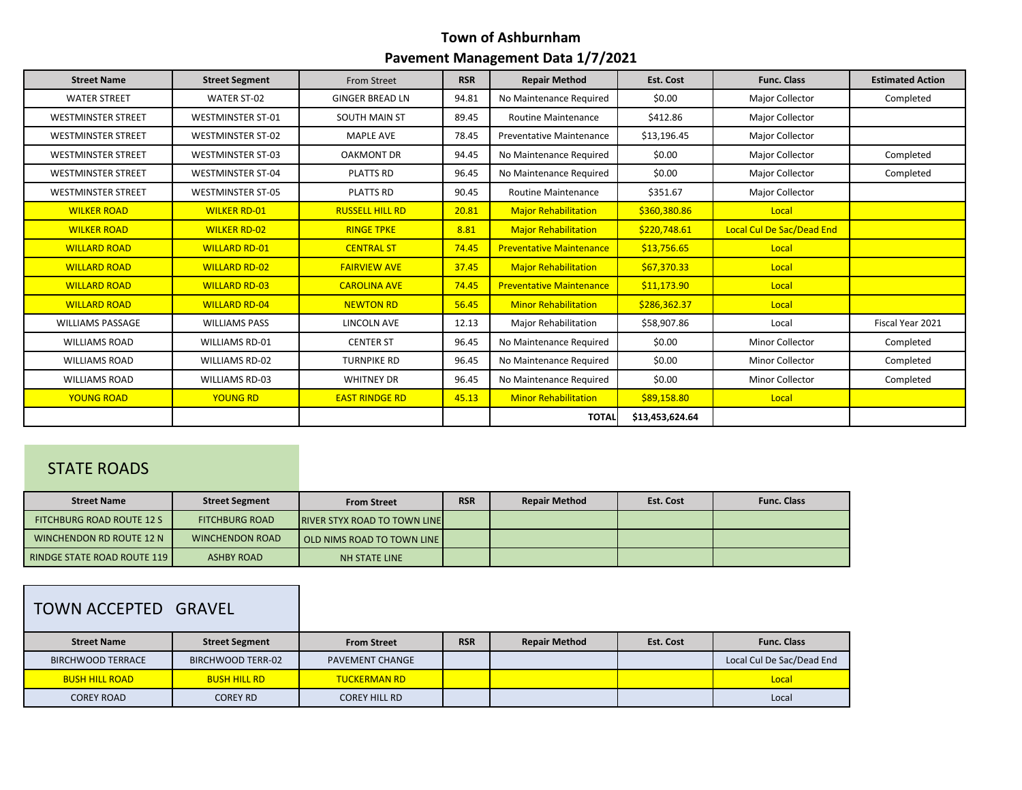| <b>Street Name</b>        | <b>Street Segment</b>    | From Street            | <b>RSR</b> | <b>Repair Method</b>            | Est. Cost       | <b>Func. Class</b>        | <b>Estimated Action</b> |
|---------------------------|--------------------------|------------------------|------------|---------------------------------|-----------------|---------------------------|-------------------------|
| <b>WATER STREET</b>       | <b>WATER ST-02</b>       | <b>GINGER BREAD LN</b> | 94.81      | No Maintenance Required         | \$0.00          | Major Collector           | Completed               |
| <b>WESTMINSTER STREET</b> | <b>WESTMINSTER ST-01</b> | SOUTH MAIN ST          | 89.45      | <b>Routine Maintenance</b>      | \$412.86        | <b>Major Collector</b>    |                         |
| <b>WESTMINSTER STREET</b> | <b>WESTMINSTER ST-02</b> | <b>MAPLE AVE</b>       | 78.45      | <b>Preventative Maintenance</b> | \$13,196.45     | Major Collector           |                         |
| <b>WESTMINSTER STREET</b> | <b>WESTMINSTER ST-03</b> | <b>OAKMONT DR</b>      | 94.45      | No Maintenance Required         | \$0.00          | Major Collector           | Completed               |
| <b>WESTMINSTER STREET</b> | <b>WESTMINSTER ST-04</b> | <b>PLATTS RD</b>       | 96.45      | No Maintenance Required         | \$0.00          | Major Collector           | Completed               |
| <b>WESTMINSTER STREET</b> | <b>WESTMINSTER ST-05</b> | <b>PLATTS RD</b>       | 90.45      | <b>Routine Maintenance</b>      | \$351.67        | Major Collector           |                         |
| <b>WILKER ROAD</b>        | <b>WILKER RD-01</b>      | <b>RUSSELL HILL RD</b> | 20.81      | <b>Major Rehabilitation</b>     | \$360,380.86    | Local                     |                         |
| <b>WILKER ROAD</b>        | <b>WILKER RD-02</b>      | <b>RINGE TPKE</b>      | 8.81       | <b>Major Rehabilitation</b>     | \$220,748.61    | Local Cul De Sac/Dead End |                         |
| <b>WILLARD ROAD</b>       | <b>WILLARD RD-01</b>     | <b>CENTRAL ST</b>      | 74.45      | <b>Preventative Maintenance</b> | \$13,756.65     | Local                     |                         |
| <b>WILLARD ROAD</b>       | <b>WILLARD RD-02</b>     | <b>FAIRVIEW AVE</b>    | 37.45      | <b>Major Rehabilitation</b>     | \$67,370.33     | Local                     |                         |
| <b>WILLARD ROAD</b>       | <b>WILLARD RD-03</b>     | <b>CAROLINA AVE</b>    | 74.45      | <b>Preventative Maintenance</b> | \$11,173.90     | Local                     |                         |
| <b>WILLARD ROAD</b>       | <b>WILLARD RD-04</b>     | <b>NEWTON RD</b>       | 56.45      | <b>Minor Rehabilitation</b>     | \$286,362.37    | Local                     |                         |
| <b>WILLIAMS PASSAGE</b>   | <b>WILLIAMS PASS</b>     | LINCOLN AVE            | 12.13      | Major Rehabilitation            | \$58,907.86     | Local                     | Fiscal Year 2021        |
| <b>WILLIAMS ROAD</b>      | <b>WILLIAMS RD-01</b>    | <b>CENTER ST</b>       | 96.45      | No Maintenance Required         | \$0.00          | <b>Minor Collector</b>    | Completed               |
| <b>WILLIAMS ROAD</b>      | <b>WILLIAMS RD-02</b>    | <b>TURNPIKE RD</b>     | 96.45      | No Maintenance Required         | \$0.00          | <b>Minor Collector</b>    | Completed               |
| <b>WILLIAMS ROAD</b>      | <b>WILLIAMS RD-03</b>    | <b>WHITNEY DR</b>      | 96.45      | No Maintenance Required         | \$0.00          | <b>Minor Collector</b>    | Completed               |
| <b>YOUNG ROAD</b>         | <b>YOUNG RD</b>          | <b>EAST RINDGE RD</b>  | 45.13      | <b>Minor Rehabilitation</b>     | \$89,158.80     | Local                     |                         |
|                           |                          |                        |            | <b>TOTAL</b>                    | \$13,453,624.64 |                           |                         |

## STATE ROADS

| <b>Street Name</b>                 | <b>Street Segment</b>  | <b>From Street</b>                   | <b>RSR</b> | <b>Repair Method</b> | Est. Cost | <b>Func. Class</b> |
|------------------------------------|------------------------|--------------------------------------|------------|----------------------|-----------|--------------------|
| FITCHBURG ROAD ROUTE 12 S          | <b>FITCHBURG ROAD</b>  | <b>IRIVER STYX ROAD TO TOWN LINE</b> |            |                      |           |                    |
| WINCHENDON RD ROUTE 12 N           | <b>WINCHENDON ROAD</b> | <b>OLD NIMS ROAD TO TOWN LINE I</b>  |            |                      |           |                    |
| <b>RINDGE STATE ROAD ROUTE 119</b> | ASHBY ROAD             | NH STATE LINE                        |            |                      |           |                    |
|                                    |                        |                                      |            |                      |           |                    |

# TOWN ACCEPTED GRAVEL

| <b>Street Name</b>       | <b>Street Segment</b> | <b>From Street</b>     | <b>RSR</b> | <b>Repair Method</b> | Est. Cost | <b>Func. Class</b>        |
|--------------------------|-----------------------|------------------------|------------|----------------------|-----------|---------------------------|
| <b>BIRCHWOOD TERRACE</b> | BIRCHWOOD TERR-02     | <b>PAVEMENT CHANGE</b> |            |                      |           | Local Cul De Sac/Dead End |
| <b>BUSH HILL ROAD</b>    | <b>BUSH HILL RD</b>   | <b>TUCKERMAN RD</b>    |            |                      |           | Local                     |
| <b>COREY ROAD</b>        | <b>COREY RD</b>       | <b>COREY HILL RD</b>   |            |                      |           | Local                     |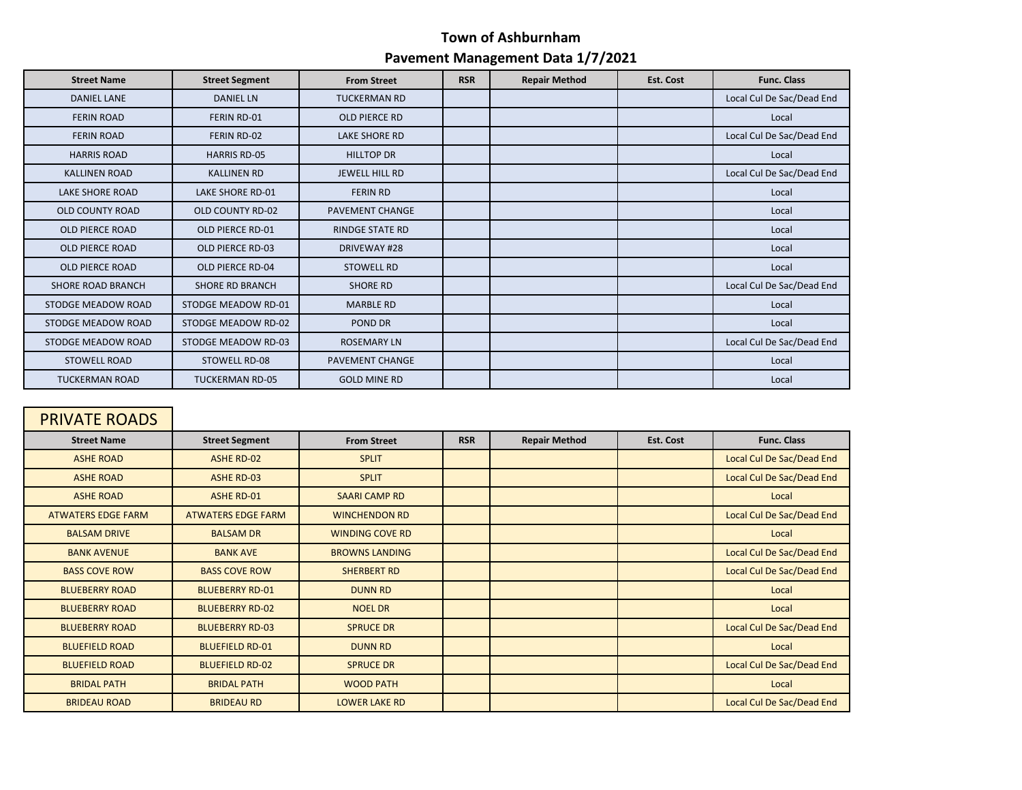| <b>Street Name</b>     | <b>Street Segment</b>  | <b>From Street</b>     | <b>RSR</b> | <b>Repair Method</b> | Est. Cost | <b>Func. Class</b>        |
|------------------------|------------------------|------------------------|------------|----------------------|-----------|---------------------------|
| <b>DANIEL LANE</b>     | <b>DANIEL LN</b>       | <b>TUCKERMAN RD</b>    |            |                      |           | Local Cul De Sac/Dead End |
| <b>FERIN ROAD</b>      | <b>FERIN RD-01</b>     | <b>OLD PIERCE RD</b>   |            |                      |           | Local                     |
| <b>FERIN ROAD</b>      | FERIN RD-02            | <b>LAKE SHORE RD</b>   |            |                      |           | Local Cul De Sac/Dead End |
| <b>HARRIS ROAD</b>     | <b>HARRIS RD-05</b>    | <b>HILLTOP DR</b>      |            |                      |           | Local                     |
| <b>KALLINEN ROAD</b>   | <b>KALLINEN RD</b>     | JEWELL HILL RD         |            |                      |           | Local Cul De Sac/Dead End |
| <b>LAKE SHORE ROAD</b> | LAKE SHORE RD-01       | <b>FERIN RD</b>        |            |                      |           | Local                     |
| OLD COUNTY ROAD        | OLD COUNTY RD-02       | <b>PAVEMENT CHANGE</b> |            |                      |           | Local                     |
| OLD PIERCE ROAD        | OLD PIERCE RD-01       | <b>RINDGE STATE RD</b> |            |                      |           | Local                     |
| OLD PIERCE ROAD        | OLD PIERCE RD-03       | DRIVEWAY #28           |            |                      |           | Local                     |
| OLD PIERCE ROAD        | OLD PIERCE RD-04       | <b>STOWELL RD</b>      |            |                      |           | Local                     |
| SHORE ROAD BRANCH      | <b>SHORE RD BRANCH</b> | <b>SHORE RD</b>        |            |                      |           | Local Cul De Sac/Dead End |
| STODGE MEADOW ROAD     | STODGE MEADOW RD-01    | <b>MARBLE RD</b>       |            |                      |           | Local                     |
| STODGE MEADOW ROAD     | STODGE MEADOW RD-02    | POND DR                |            |                      |           | Local                     |
| STODGE MEADOW ROAD     | STODGE MEADOW RD-03    | <b>ROSEMARY LN</b>     |            |                      |           | Local Cul De Sac/Dead End |
| <b>STOWELL ROAD</b>    | <b>STOWELL RD-08</b>   | <b>PAVEMENT CHANGE</b> |            |                      |           | Local                     |
| <b>TUCKERMAN ROAD</b>  | <b>TUCKERMAN RD-05</b> | <b>GOLD MINE RD</b>    |            |                      |           | Local                     |

# PRIVATE ROADS

| <b>Street Name</b>        | <b>Street Segment</b>     | <b>From Street</b>     | <b>RSR</b> | <b>Repair Method</b> | Est. Cost | <b>Func. Class</b>        |
|---------------------------|---------------------------|------------------------|------------|----------------------|-----------|---------------------------|
| <b>ASHE ROAD</b>          | ASHE RD-02                | <b>SPLIT</b>           |            |                      |           | Local Cul De Sac/Dead End |
| <b>ASHE ROAD</b>          | <b>ASHE RD-03</b>         | <b>SPLIT</b>           |            |                      |           | Local Cul De Sac/Dead End |
| <b>ASHE ROAD</b>          | <b>ASHE RD-01</b>         | <b>SAARI CAMP RD</b>   |            |                      |           | Local                     |
| <b>ATWATERS EDGE FARM</b> | <b>ATWATERS EDGE FARM</b> | <b>WINCHENDON RD</b>   |            |                      |           | Local Cul De Sac/Dead End |
| <b>BALSAM DRIVE</b>       | <b>BALSAM DR</b>          | <b>WINDING COVE RD</b> |            |                      |           | Local                     |
| <b>BANK AVENUE</b>        | <b>BANK AVE</b>           | <b>BROWNS LANDING</b>  |            |                      |           | Local Cul De Sac/Dead End |
| <b>BASS COVE ROW</b>      | <b>BASS COVE ROW</b>      | <b>SHERBERT RD</b>     |            |                      |           | Local Cul De Sac/Dead End |
| <b>BLUEBERRY ROAD</b>     | <b>BLUEBERRY RD-01</b>    | <b>DUNN RD</b>         |            |                      |           | Local                     |
| <b>BLUEBERRY ROAD</b>     | <b>BLUEBERRY RD-02</b>    | <b>NOEL DR</b>         |            |                      |           | Local                     |
| <b>BLUEBERRY ROAD</b>     | <b>BLUEBERRY RD-03</b>    | <b>SPRUCE DR</b>       |            |                      |           | Local Cul De Sac/Dead End |
| <b>BLUEFIELD ROAD</b>     | <b>BLUEFIELD RD-01</b>    | <b>DUNN RD</b>         |            |                      |           | Local                     |
| <b>BLUEFIELD ROAD</b>     | <b>BLUEFIELD RD-02</b>    | <b>SPRUCE DR</b>       |            |                      |           | Local Cul De Sac/Dead End |
| <b>BRIDAL PATH</b>        | <b>BRIDAL PATH</b>        | <b>WOOD PATH</b>       |            |                      |           | Local                     |
| <b>BRIDEAU ROAD</b>       | <b>BRIDEAU RD</b>         | <b>LOWER LAKE RD</b>   |            |                      |           | Local Cul De Sac/Dead End |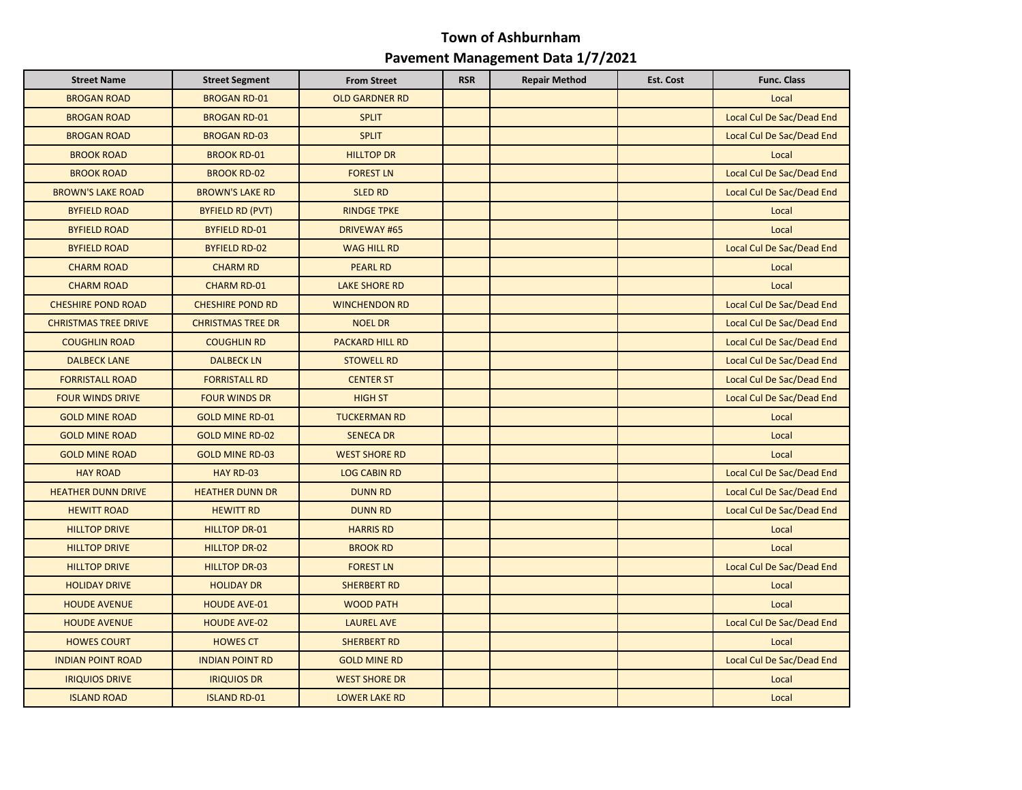| <b>Street Name</b>          | <b>Street Segment</b>    | <b>From Street</b>     | <b>RSR</b> | <b>Repair Method</b> | <b>Est. Cost</b> | <b>Func. Class</b>        |
|-----------------------------|--------------------------|------------------------|------------|----------------------|------------------|---------------------------|
| <b>BROGAN ROAD</b>          | <b>BROGAN RD-01</b>      | <b>OLD GARDNER RD</b>  |            |                      |                  | Local                     |
| <b>BROGAN ROAD</b>          | <b>BROGAN RD-01</b>      | <b>SPLIT</b>           |            |                      |                  | Local Cul De Sac/Dead End |
| <b>BROGAN ROAD</b>          | <b>BROGAN RD-03</b>      | <b>SPLIT</b>           |            |                      |                  | Local Cul De Sac/Dead End |
| <b>BROOK ROAD</b>           | <b>BROOK RD-01</b>       | <b>HILLTOP DR</b>      |            |                      |                  | Local                     |
| <b>BROOK ROAD</b>           | <b>BROOK RD-02</b>       | <b>FOREST LN</b>       |            |                      |                  | Local Cul De Sac/Dead End |
| <b>BROWN'S LAKE ROAD</b>    | <b>BROWN'S LAKE RD</b>   | <b>SLED RD</b>         |            |                      |                  | Local Cul De Sac/Dead End |
| <b>BYFIELD ROAD</b>         | <b>BYFIELD RD (PVT)</b>  | <b>RINDGE TPKE</b>     |            |                      |                  | Local                     |
| <b>BYFIELD ROAD</b>         | <b>BYFIELD RD-01</b>     | <b>DRIVEWAY #65</b>    |            |                      |                  | Local                     |
| <b>BYFIELD ROAD</b>         | <b>BYFIELD RD-02</b>     | <b>WAG HILL RD</b>     |            |                      |                  | Local Cul De Sac/Dead End |
| <b>CHARM ROAD</b>           | <b>CHARM RD</b>          | <b>PEARL RD</b>        |            |                      |                  | Local                     |
| <b>CHARM ROAD</b>           | <b>CHARM RD-01</b>       | <b>LAKE SHORE RD</b>   |            |                      |                  | Local                     |
| <b>CHESHIRE POND ROAD</b>   | <b>CHESHIRE POND RD</b>  | <b>WINCHENDON RD</b>   |            |                      |                  | Local Cul De Sac/Dead End |
| <b>CHRISTMAS TREE DRIVE</b> | <b>CHRISTMAS TREE DR</b> | <b>NOEL DR</b>         |            |                      |                  | Local Cul De Sac/Dead End |
| <b>COUGHLIN ROAD</b>        | <b>COUGHLIN RD</b>       | <b>PACKARD HILL RD</b> |            |                      |                  | Local Cul De Sac/Dead End |
| <b>DALBECK LANE</b>         | <b>DALBECK LN</b>        | <b>STOWELL RD</b>      |            |                      |                  | Local Cul De Sac/Dead End |
| <b>FORRISTALL ROAD</b>      | <b>FORRISTALL RD</b>     | <b>CENTER ST</b>       |            |                      |                  | Local Cul De Sac/Dead End |
| <b>FOUR WINDS DRIVE</b>     | <b>FOUR WINDS DR</b>     | <b>HIGH ST</b>         |            |                      |                  | Local Cul De Sac/Dead End |
| <b>GOLD MINE ROAD</b>       | <b>GOLD MINE RD-01</b>   | <b>TUCKERMAN RD</b>    |            |                      |                  | Local                     |
| <b>GOLD MINE ROAD</b>       | <b>GOLD MINE RD-02</b>   | <b>SENECA DR</b>       |            |                      |                  | Local                     |
| <b>GOLD MINE ROAD</b>       | <b>GOLD MINE RD-03</b>   | <b>WEST SHORE RD</b>   |            |                      |                  | Local                     |
| <b>HAY ROAD</b>             | HAY RD-03                | <b>LOG CABIN RD</b>    |            |                      |                  | Local Cul De Sac/Dead End |
| <b>HEATHER DUNN DRIVE</b>   | <b>HEATHER DUNN DR</b>   | <b>DUNN RD</b>         |            |                      |                  | Local Cul De Sac/Dead End |
| <b>HEWITT ROAD</b>          | <b>HEWITT RD</b>         | <b>DUNN RD</b>         |            |                      |                  | Local Cul De Sac/Dead End |
| <b>HILLTOP DRIVE</b>        | <b>HILLTOP DR-01</b>     | <b>HARRIS RD</b>       |            |                      |                  | Local                     |
| <b>HILLTOP DRIVE</b>        | <b>HILLTOP DR-02</b>     | <b>BROOK RD</b>        |            |                      |                  | Local                     |
| <b>HILLTOP DRIVE</b>        | <b>HILLTOP DR-03</b>     | <b>FOREST LN</b>       |            |                      |                  | Local Cul De Sac/Dead End |
| <b>HOLIDAY DRIVE</b>        | <b>HOLIDAY DR</b>        | <b>SHERBERT RD</b>     |            |                      |                  | Local                     |
| <b>HOUDE AVENUE</b>         | <b>HOUDE AVE-01</b>      | <b>WOOD PATH</b>       |            |                      |                  | Local                     |
| <b>HOUDE AVENUE</b>         | <b>HOUDE AVE-02</b>      | <b>LAUREL AVE</b>      |            |                      |                  | Local Cul De Sac/Dead End |
| <b>HOWES COURT</b>          | <b>HOWES CT</b>          | <b>SHERBERT RD</b>     |            |                      |                  | Local                     |
| <b>INDIAN POINT ROAD</b>    | <b>INDIAN POINT RD</b>   | <b>GOLD MINE RD</b>    |            |                      |                  | Local Cul De Sac/Dead End |
| <b>IRIQUIOS DRIVE</b>       | <b>IRIQUIOS DR</b>       | <b>WEST SHORE DR</b>   |            |                      |                  | Local                     |
| <b>ISLAND ROAD</b>          | <b>ISLAND RD-01</b>      | <b>LOWER LAKE RD</b>   |            |                      |                  | Local                     |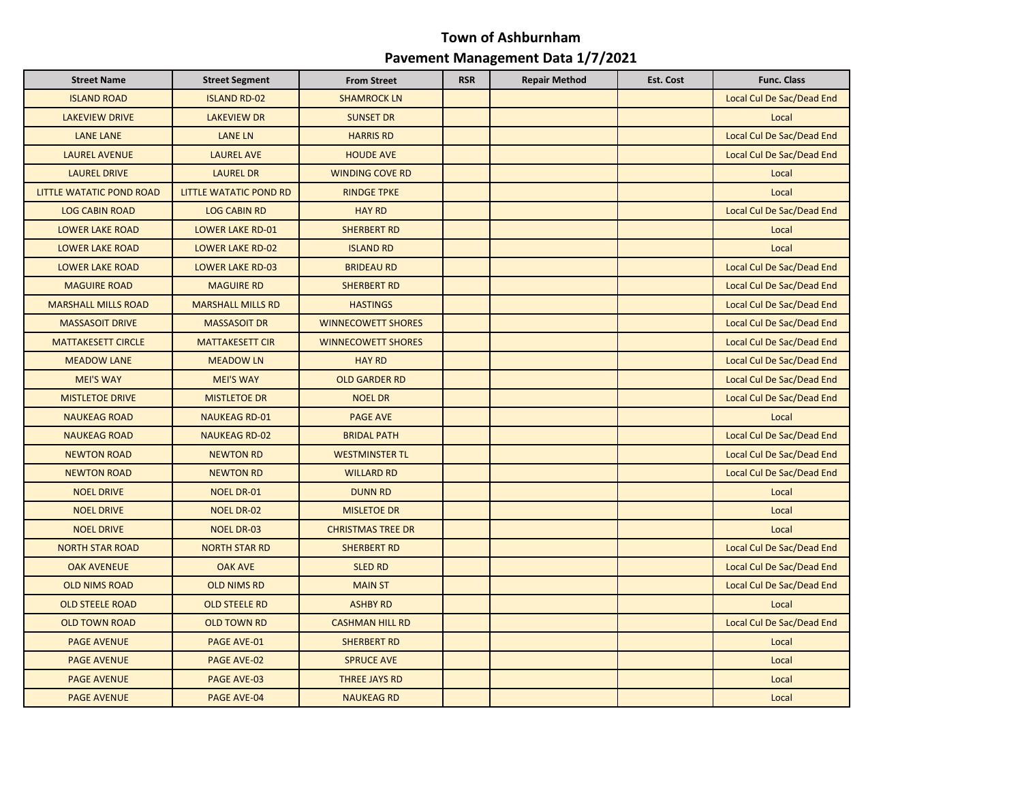| <b>Street Name</b>         | <b>Street Segment</b>    | <b>From Street</b>        | <b>RSR</b> | <b>Repair Method</b> | <b>Est. Cost</b> | <b>Func. Class</b>        |
|----------------------------|--------------------------|---------------------------|------------|----------------------|------------------|---------------------------|
| <b>ISLAND ROAD</b>         | <b>ISLAND RD-02</b>      | <b>SHAMROCK LN</b>        |            |                      |                  | Local Cul De Sac/Dead End |
| <b>LAKEVIEW DRIVE</b>      | <b>LAKEVIEW DR</b>       | <b>SUNSET DR</b>          |            |                      |                  | Local                     |
| <b>LANE LANE</b>           | <b>LANE LN</b>           | <b>HARRIS RD</b>          |            |                      |                  | Local Cul De Sac/Dead End |
| <b>LAUREL AVENUE</b>       | <b>LAUREL AVE</b>        | <b>HOUDE AVE</b>          |            |                      |                  | Local Cul De Sac/Dead End |
| <b>LAUREL DRIVE</b>        | <b>LAUREL DR</b>         | <b>WINDING COVE RD</b>    |            |                      |                  | Local                     |
| LITTLE WATATIC POND ROAD   | LITTLE WATATIC POND RD   | <b>RINDGE TPKE</b>        |            |                      |                  | Local                     |
| <b>LOG CABIN ROAD</b>      | <b>LOG CABIN RD</b>      | <b>HAY RD</b>             |            |                      |                  | Local Cul De Sac/Dead End |
| <b>LOWER LAKE ROAD</b>     | <b>LOWER LAKE RD-01</b>  | <b>SHERBERT RD</b>        |            |                      |                  | Local                     |
| <b>LOWER LAKE ROAD</b>     | <b>LOWER LAKE RD-02</b>  | <b>ISLAND RD</b>          |            |                      |                  | Local                     |
| <b>LOWER LAKE ROAD</b>     | <b>LOWER LAKE RD-03</b>  | <b>BRIDEAU RD</b>         |            |                      |                  | Local Cul De Sac/Dead End |
| <b>MAGUIRE ROAD</b>        | <b>MAGUIRE RD</b>        | <b>SHERBERT RD</b>        |            |                      |                  | Local Cul De Sac/Dead End |
| <b>MARSHALL MILLS ROAD</b> | <b>MARSHALL MILLS RD</b> | <b>HASTINGS</b>           |            |                      |                  | Local Cul De Sac/Dead End |
| <b>MASSASOIT DRIVE</b>     | <b>MASSASOIT DR</b>      | <b>WINNECOWETT SHORES</b> |            |                      |                  | Local Cul De Sac/Dead End |
| <b>MATTAKESETT CIRCLE</b>  | <b>MATTAKESETT CIR</b>   | <b>WINNECOWETT SHORES</b> |            |                      |                  | Local Cul De Sac/Dead End |
| <b>MEADOW LANE</b>         | <b>MEADOW LN</b>         | <b>HAY RD</b>             |            |                      |                  | Local Cul De Sac/Dead End |
| <b>MEI'S WAY</b>           | <b>MEI'S WAY</b>         | <b>OLD GARDER RD</b>      |            |                      |                  | Local Cul De Sac/Dead End |
| <b>MISTLETOE DRIVE</b>     | <b>MISTLETOE DR</b>      | <b>NOEL DR</b>            |            |                      |                  | Local Cul De Sac/Dead End |
| <b>NAUKEAG ROAD</b>        | <b>NAUKEAG RD-01</b>     | <b>PAGE AVE</b>           |            |                      |                  | Local                     |
| <b>NAUKEAG ROAD</b>        | <b>NAUKEAG RD-02</b>     | <b>BRIDAL PATH</b>        |            |                      |                  | Local Cul De Sac/Dead End |
| <b>NEWTON ROAD</b>         | <b>NEWTON RD</b>         | <b>WESTMINSTER TL</b>     |            |                      |                  | Local Cul De Sac/Dead End |
| <b>NEWTON ROAD</b>         | <b>NEWTON RD</b>         | <b>WILLARD RD</b>         |            |                      |                  | Local Cul De Sac/Dead End |
| <b>NOEL DRIVE</b>          | <b>NOEL DR-01</b>        | <b>DUNN RD</b>            |            |                      |                  | Local                     |
| <b>NOEL DRIVE</b>          | <b>NOEL DR-02</b>        | <b>MISLETOE DR</b>        |            |                      |                  | Local                     |
| <b>NOEL DRIVE</b>          | <b>NOEL DR-03</b>        | <b>CHRISTMAS TREE DR</b>  |            |                      |                  | Local                     |
| <b>NORTH STAR ROAD</b>     | <b>NORTH STAR RD</b>     | <b>SHERBERT RD</b>        |            |                      |                  | Local Cul De Sac/Dead End |
| <b>OAK AVENEUE</b>         | <b>OAK AVE</b>           | <b>SLED RD</b>            |            |                      |                  | Local Cul De Sac/Dead End |
| <b>OLD NIMS ROAD</b>       | <b>OLD NIMS RD</b>       | <b>MAIN ST</b>            |            |                      |                  | Local Cul De Sac/Dead End |
| <b>OLD STEELE ROAD</b>     | <b>OLD STEELE RD</b>     | <b>ASHBY RD</b>           |            |                      |                  | Local                     |
| <b>OLD TOWN ROAD</b>       | <b>OLD TOWN RD</b>       | <b>CASHMAN HILL RD</b>    |            |                      |                  | Local Cul De Sac/Dead End |
| <b>PAGE AVENUE</b>         | PAGE AVE-01              | <b>SHERBERT RD</b>        |            |                      |                  | Local                     |
| <b>PAGE AVENUE</b>         | <b>PAGE AVE-02</b>       | <b>SPRUCE AVE</b>         |            |                      |                  | Local                     |
| <b>PAGE AVENUE</b>         | PAGE AVE-03              | <b>THREE JAYS RD</b>      |            |                      |                  | Local                     |
| <b>PAGE AVENUE</b>         | <b>PAGE AVE-04</b>       | <b>NAUKEAG RD</b>         |            |                      |                  | Local                     |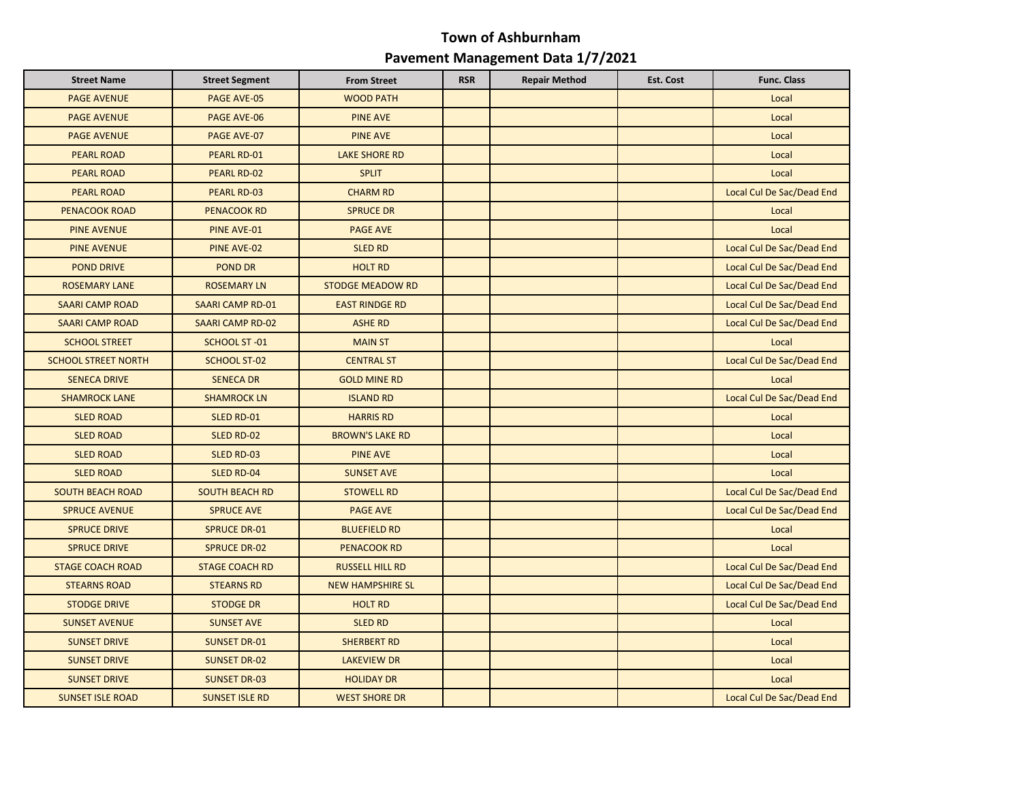| <b>Street Name</b>         | <b>Street Segment</b>   | <b>From Street</b>      | <b>RSR</b> | <b>Repair Method</b> | Est. Cost | <b>Func. Class</b>        |
|----------------------------|-------------------------|-------------------------|------------|----------------------|-----------|---------------------------|
| <b>PAGE AVENUE</b>         | <b>PAGE AVE-05</b>      | <b>WOOD PATH</b>        |            |                      |           | Local                     |
| <b>PAGE AVENUE</b>         | <b>PAGE AVE-06</b>      | <b>PINE AVE</b>         |            |                      |           | Local                     |
| <b>PAGE AVENUE</b>         | PAGE AVE-07             | <b>PINE AVE</b>         |            |                      |           | Local                     |
| <b>PEARL ROAD</b>          | PEARL RD-01             | <b>LAKE SHORE RD</b>    |            |                      |           | Local                     |
| <b>PEARL ROAD</b>          | PEARL RD-02             | <b>SPLIT</b>            |            |                      |           | Local                     |
| <b>PEARL ROAD</b>          | <b>PEARL RD-03</b>      | <b>CHARM RD</b>         |            |                      |           | Local Cul De Sac/Dead End |
| <b>PENACOOK ROAD</b>       | <b>PENACOOK RD</b>      | <b>SPRUCE DR</b>        |            |                      |           | Local                     |
| <b>PINE AVENUE</b>         | PINE AVE-01             | <b>PAGE AVE</b>         |            |                      |           | Local                     |
| <b>PINE AVENUE</b>         | PINE AVE-02             | <b>SLED RD</b>          |            |                      |           | Local Cul De Sac/Dead End |
| <b>POND DRIVE</b>          | <b>POND DR</b>          | <b>HOLT RD</b>          |            |                      |           | Local Cul De Sac/Dead End |
| <b>ROSEMARY LANE</b>       | <b>ROSEMARY LN</b>      | <b>STODGE MEADOW RD</b> |            |                      |           | Local Cul De Sac/Dead End |
| <b>SAARI CAMP ROAD</b>     | <b>SAARI CAMP RD-01</b> | <b>EAST RINDGE RD</b>   |            |                      |           | Local Cul De Sac/Dead End |
| <b>SAARI CAMP ROAD</b>     | <b>SAARI CAMP RD-02</b> | <b>ASHE RD</b>          |            |                      |           | Local Cul De Sac/Dead End |
| <b>SCHOOL STREET</b>       | SCHOOL ST-01            | <b>MAIN ST</b>          |            |                      |           | Local                     |
| <b>SCHOOL STREET NORTH</b> | <b>SCHOOL ST-02</b>     | <b>CENTRAL ST</b>       |            |                      |           | Local Cul De Sac/Dead End |
| <b>SENECA DRIVE</b>        | <b>SENECA DR</b>        | <b>GOLD MINE RD</b>     |            |                      |           | Local                     |
| <b>SHAMROCK LANE</b>       | <b>SHAMROCK LN</b>      | <b>ISLAND RD</b>        |            |                      |           | Local Cul De Sac/Dead End |
| <b>SLED ROAD</b>           | SLED RD-01              | <b>HARRIS RD</b>        |            |                      |           | Local                     |
| <b>SLED ROAD</b>           | SLED RD-02              | <b>BROWN'S LAKE RD</b>  |            |                      |           | Local                     |
| <b>SLED ROAD</b>           | SLED RD-03              | <b>PINE AVE</b>         |            |                      |           | Local                     |
| <b>SLED ROAD</b>           | <b>SLED RD-04</b>       | <b>SUNSET AVE</b>       |            |                      |           | Local                     |
| <b>SOUTH BEACH ROAD</b>    | <b>SOUTH BEACH RD</b>   | <b>STOWELL RD</b>       |            |                      |           | Local Cul De Sac/Dead End |
| <b>SPRUCE AVENUE</b>       | <b>SPRUCE AVE</b>       | <b>PAGE AVE</b>         |            |                      |           | Local Cul De Sac/Dead End |
| <b>SPRUCE DRIVE</b>        | <b>SPRUCE DR-01</b>     | <b>BLUEFIELD RD</b>     |            |                      |           | Local                     |
| <b>SPRUCE DRIVE</b>        | <b>SPRUCE DR-02</b>     | <b>PENACOOK RD</b>      |            |                      |           | Local                     |
| <b>STAGE COACH ROAD</b>    | <b>STAGE COACH RD</b>   | <b>RUSSELL HILL RD</b>  |            |                      |           | Local Cul De Sac/Dead End |
| <b>STEARNS ROAD</b>        | <b>STEARNS RD</b>       | <b>NEW HAMPSHIRE SL</b> |            |                      |           | Local Cul De Sac/Dead End |
| <b>STODGE DRIVE</b>        | <b>STODGE DR</b>        | <b>HOLT RD</b>          |            |                      |           | Local Cul De Sac/Dead End |
| <b>SUNSET AVENUE</b>       | <b>SUNSET AVE</b>       | <b>SLED RD</b>          |            |                      |           | Local                     |
| <b>SUNSET DRIVE</b>        | <b>SUNSET DR-01</b>     | <b>SHERBERT RD</b>      |            |                      |           | Local                     |
| <b>SUNSET DRIVE</b>        | <b>SUNSET DR-02</b>     | <b>LAKEVIEW DR</b>      |            |                      |           | Local                     |
| <b>SUNSET DRIVE</b>        | <b>SUNSET DR-03</b>     | <b>HOLIDAY DR</b>       |            |                      |           | Local                     |
| <b>SUNSET ISLE ROAD</b>    | <b>SUNSET ISLE RD</b>   | <b>WEST SHORE DR</b>    |            |                      |           | Local Cul De Sac/Dead End |